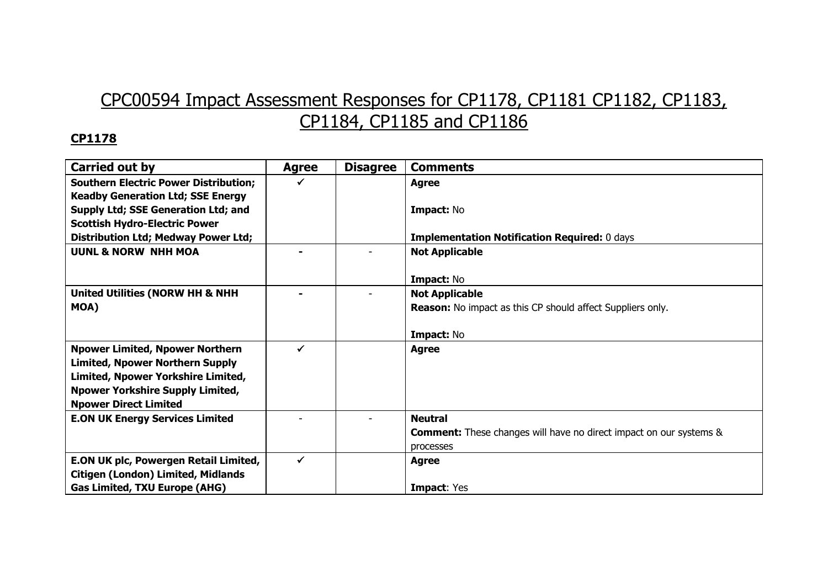# CPC00594 Impact Assessment Responses for CP1178, CP1181 CP1182, CP1183, CP1184, CP1185 and CP1186

| <b>Carried out by</b>                        | <b>Agree</b> | <b>Disagree</b> | <b>Comments</b>                                                           |
|----------------------------------------------|--------------|-----------------|---------------------------------------------------------------------------|
| <b>Southern Electric Power Distribution;</b> |              |                 | <b>Agree</b>                                                              |
| <b>Keadby Generation Ltd; SSE Energy</b>     |              |                 |                                                                           |
| Supply Ltd; SSE Generation Ltd; and          |              |                 | Impact: No                                                                |
| <b>Scottish Hydro-Electric Power</b>         |              |                 |                                                                           |
| <b>Distribution Ltd; Medway Power Ltd;</b>   |              |                 | <b>Implementation Notification Required: 0 days</b>                       |
| <b>UUNL &amp; NORW NHH MOA</b>               |              |                 | <b>Not Applicable</b>                                                     |
|                                              |              |                 |                                                                           |
|                                              |              |                 | Impact: No                                                                |
| <b>United Utilities (NORW HH &amp; NHH</b>   |              |                 | <b>Not Applicable</b>                                                     |
| MOA)                                         |              |                 | <b>Reason:</b> No impact as this CP should affect Suppliers only.         |
|                                              |              |                 |                                                                           |
|                                              |              |                 | Impact: No                                                                |
| <b>Npower Limited, Npower Northern</b>       |              |                 | <b>Agree</b>                                                              |
| <b>Limited, Npower Northern Supply</b>       |              |                 |                                                                           |
| Limited, Npower Yorkshire Limited,           |              |                 |                                                                           |
| <b>Npower Yorkshire Supply Limited,</b>      |              |                 |                                                                           |
| <b>Npower Direct Limited</b>                 |              |                 |                                                                           |
| <b>E.ON UK Energy Services Limited</b>       |              |                 | <b>Neutral</b>                                                            |
|                                              |              |                 | <b>Comment:</b> These changes will have no direct impact on our systems & |
|                                              |              |                 | processes                                                                 |
| E.ON UK plc, Powergen Retail Limited,        | ✔            |                 | <b>Agree</b>                                                              |
| <b>Citigen (London) Limited, Midlands</b>    |              |                 |                                                                           |
| <b>Gas Limited, TXU Europe (AHG)</b>         |              |                 | <b>Impact: Yes</b>                                                        |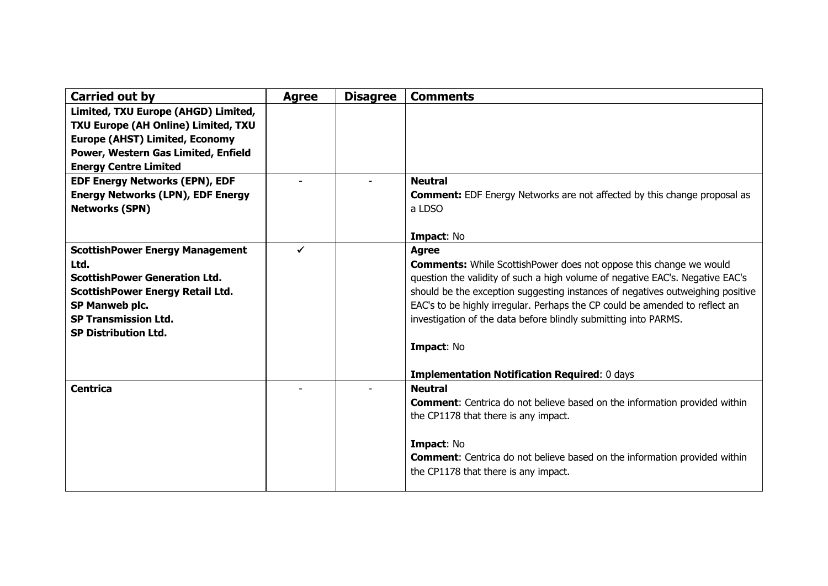| Carried out by                                                                                                                                                                                                    | <b>Agree</b> | <b>Disagree</b> | <b>Comments</b>                                                                                                                                                                                                                                                                                                                                                                                                                                                                     |
|-------------------------------------------------------------------------------------------------------------------------------------------------------------------------------------------------------------------|--------------|-----------------|-------------------------------------------------------------------------------------------------------------------------------------------------------------------------------------------------------------------------------------------------------------------------------------------------------------------------------------------------------------------------------------------------------------------------------------------------------------------------------------|
| Limited, TXU Europe (AHGD) Limited,<br>TXU Europe (AH Online) Limited, TXU<br><b>Europe (AHST) Limited, Economy</b><br>Power, Western Gas Limited, Enfield<br><b>Energy Centre Limited</b>                        |              |                 |                                                                                                                                                                                                                                                                                                                                                                                                                                                                                     |
| <b>EDF Energy Networks (EPN), EDF</b><br><b>Energy Networks (LPN), EDF Energy</b><br><b>Networks (SPN)</b>                                                                                                        |              |                 | <b>Neutral</b><br><b>Comment:</b> EDF Energy Networks are not affected by this change proposal as<br>a LDSO<br>Impact: No                                                                                                                                                                                                                                                                                                                                                           |
| <b>ScottishPower Energy Management</b><br>Ltd.<br><b>ScottishPower Generation Ltd.</b><br><b>ScottishPower Energy Retail Ltd.</b><br>SP Manweb plc.<br><b>SP Transmission Ltd.</b><br><b>SP Distribution Ltd.</b> | $\checkmark$ |                 | <b>Agree</b><br><b>Comments:</b> While ScottishPower does not oppose this change we would<br>question the validity of such a high volume of negative EAC's. Negative EAC's<br>should be the exception suggesting instances of negatives outweighing positive<br>EAC's to be highly irregular. Perhaps the CP could be amended to reflect an<br>investigation of the data before blindly submitting into PARMS.<br>Impact: No<br><b>Implementation Notification Required: 0 days</b> |
| <b>Centrica</b>                                                                                                                                                                                                   |              |                 | <b>Neutral</b><br><b>Comment:</b> Centrica do not believe based on the information provided within<br>the CP1178 that there is any impact.<br>Impact: No<br><b>Comment:</b> Centrica do not believe based on the information provided within<br>the CP1178 that there is any impact.                                                                                                                                                                                                |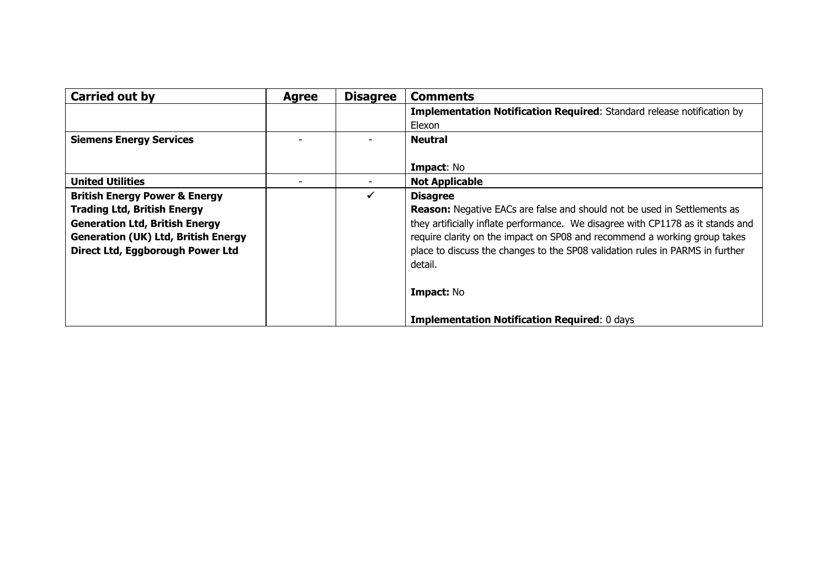| <b>Carried out by</b>                      | <b>Agree</b> | <b>Disagree</b> | <b>Comments</b>                                                                 |
|--------------------------------------------|--------------|-----------------|---------------------------------------------------------------------------------|
|                                            |              |                 | <b>Implementation Notification Required:</b> Standard release notification by   |
|                                            |              |                 | Elexon                                                                          |
| <b>Siemens Energy Services</b>             |              |                 | <b>Neutral</b>                                                                  |
|                                            |              |                 |                                                                                 |
|                                            |              |                 | <b>Impact: No</b>                                                               |
| <b>United Utilities</b>                    |              |                 | <b>Not Applicable</b>                                                           |
| <b>British Energy Power &amp; Energy</b>   |              | $\checkmark$    | <b>Disagree</b>                                                                 |
| <b>Trading Ltd, British Energy</b>         |              |                 | <b>Reason:</b> Negative EACs are false and should not be used in Settlements as |
| <b>Generation Ltd, British Energy</b>      |              |                 | they artificially inflate performance. We disagree with CP1178 as it stands and |
| <b>Generation (UK) Ltd, British Energy</b> |              |                 | require clarity on the impact on SP08 and recommend a working group takes       |
| Direct Ltd, Eggborough Power Ltd           |              |                 | place to discuss the changes to the SP08 validation rules in PARMS in further   |
|                                            |              |                 | detail.                                                                         |
|                                            |              |                 |                                                                                 |
|                                            |              |                 | Impact: No                                                                      |
|                                            |              |                 | <b>Implementation Notification Required: 0 days</b>                             |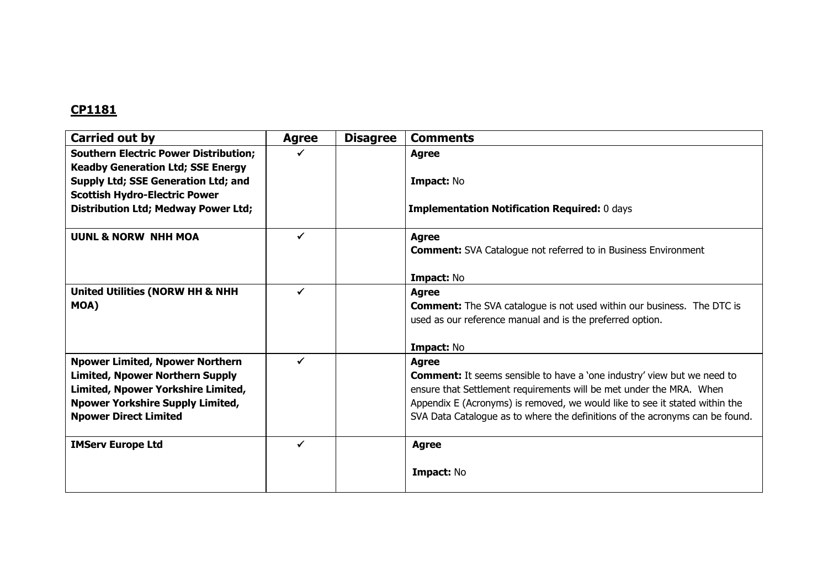| Carried out by                                                                                                                                                                                    | <b>Agree</b> | <b>Disagree</b> | <b>Comments</b>                                                                                                                                                                                                                                                                                                                      |
|---------------------------------------------------------------------------------------------------------------------------------------------------------------------------------------------------|--------------|-----------------|--------------------------------------------------------------------------------------------------------------------------------------------------------------------------------------------------------------------------------------------------------------------------------------------------------------------------------------|
| <b>Southern Electric Power Distribution;</b><br><b>Keadby Generation Ltd; SSE Energy</b>                                                                                                          |              |                 | <b>Agree</b>                                                                                                                                                                                                                                                                                                                         |
| Supply Ltd; SSE Generation Ltd; and<br><b>Scottish Hydro-Electric Power</b>                                                                                                                       |              |                 | Impact: No                                                                                                                                                                                                                                                                                                                           |
| <b>Distribution Ltd; Medway Power Ltd;</b>                                                                                                                                                        |              |                 | <b>Implementation Notification Required: 0 days</b>                                                                                                                                                                                                                                                                                  |
| <b>UUNL &amp; NORW NHH MOA</b>                                                                                                                                                                    | ✓            |                 | <b>Agree</b><br><b>Comment:</b> SVA Catalogue not referred to in Business Environment                                                                                                                                                                                                                                                |
|                                                                                                                                                                                                   |              |                 | Impact: No                                                                                                                                                                                                                                                                                                                           |
| United Utilities (NORW HH & NHH<br>MOA)                                                                                                                                                           |              |                 | <b>Agree</b><br><b>Comment:</b> The SVA catalogue is not used within our business. The DTC is<br>used as our reference manual and is the preferred option.                                                                                                                                                                           |
|                                                                                                                                                                                                   |              |                 | Impact: No                                                                                                                                                                                                                                                                                                                           |
| <b>Npower Limited, Npower Northern</b><br><b>Limited, Npower Northern Supply</b><br>Limited, Npower Yorkshire Limited,<br><b>Npower Yorkshire Supply Limited,</b><br><b>Npower Direct Limited</b> |              |                 | <b>Agree</b><br><b>Comment:</b> It seems sensible to have a 'one industry' view but we need to<br>ensure that Settlement requirements will be met under the MRA. When<br>Appendix E (Acronyms) is removed, we would like to see it stated within the<br>SVA Data Catalogue as to where the definitions of the acronyms can be found. |
| <b>IMServ Europe Ltd</b>                                                                                                                                                                          |              |                 | <b>Agree</b>                                                                                                                                                                                                                                                                                                                         |
|                                                                                                                                                                                                   |              |                 | <b>Impact: No</b>                                                                                                                                                                                                                                                                                                                    |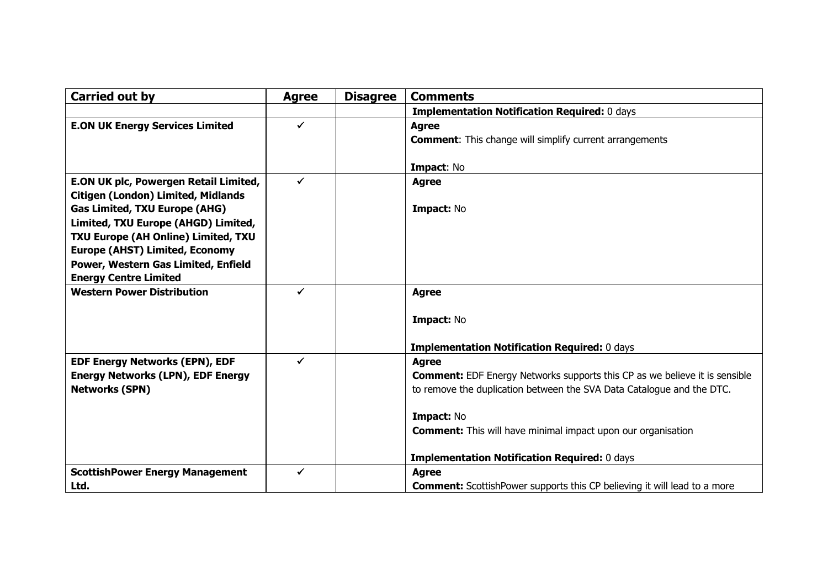| <b>Carried out by</b>                     | <b>Agree</b> | <b>Disagree</b> | <b>Comments</b>                                                                   |
|-------------------------------------------|--------------|-----------------|-----------------------------------------------------------------------------------|
|                                           |              |                 | <b>Implementation Notification Required: 0 days</b>                               |
| <b>E.ON UK Energy Services Limited</b>    | $\checkmark$ |                 | <b>Agree</b>                                                                      |
|                                           |              |                 | <b>Comment:</b> This change will simplify current arrangements                    |
|                                           |              |                 |                                                                                   |
| E.ON UK plc, Powergen Retail Limited,     | ✓            |                 | Impact: No                                                                        |
| <b>Citigen (London) Limited, Midlands</b> |              |                 | <b>Agree</b>                                                                      |
| <b>Gas Limited, TXU Europe (AHG)</b>      |              |                 | Impact: No                                                                        |
| Limited, TXU Europe (AHGD) Limited,       |              |                 |                                                                                   |
| TXU Europe (AH Online) Limited, TXU       |              |                 |                                                                                   |
| <b>Europe (AHST) Limited, Economy</b>     |              |                 |                                                                                   |
| Power, Western Gas Limited, Enfield       |              |                 |                                                                                   |
| <b>Energy Centre Limited</b>              |              |                 |                                                                                   |
| <b>Western Power Distribution</b>         |              |                 | <b>Agree</b>                                                                      |
|                                           |              |                 |                                                                                   |
|                                           |              |                 | Impact: No                                                                        |
|                                           |              |                 | <b>Implementation Notification Required: 0 days</b>                               |
| <b>EDF Energy Networks (EPN), EDF</b>     | ✓            |                 | <b>Agree</b>                                                                      |
| <b>Energy Networks (LPN), EDF Energy</b>  |              |                 | <b>Comment:</b> EDF Energy Networks supports this CP as we believe it is sensible |
| <b>Networks (SPN)</b>                     |              |                 | to remove the duplication between the SVA Data Catalogue and the DTC.             |
|                                           |              |                 | Impact: No                                                                        |
|                                           |              |                 | <b>Comment:</b> This will have minimal impact upon our organisation               |
|                                           |              |                 |                                                                                   |
|                                           |              |                 | <b>Implementation Notification Required: 0 days</b>                               |
| <b>ScottishPower Energy Management</b>    | ✓            |                 | <b>Agree</b>                                                                      |
| Ltd.                                      |              |                 | <b>Comment:</b> ScottishPower supports this CP believing it will lead to a more   |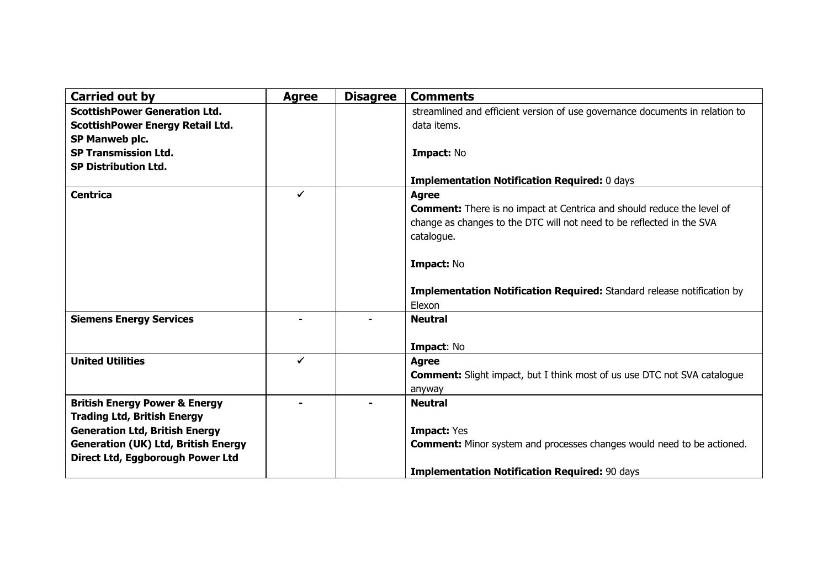| Carried out by                                                                                                          | <b>Agree</b> | <b>Disagree</b> | <b>Comments</b>                                                                                                                                                                                    |
|-------------------------------------------------------------------------------------------------------------------------|--------------|-----------------|----------------------------------------------------------------------------------------------------------------------------------------------------------------------------------------------------|
| <b>ScottishPower Generation Ltd.</b><br><b>ScottishPower Energy Retail Ltd.</b><br>SP Manweb plc.                       |              |                 | streamlined and efficient version of use governance documents in relation to<br>data items.                                                                                                        |
| <b>SP Transmission Ltd.</b><br><b>SP Distribution Ltd.</b>                                                              |              |                 | Impact: No                                                                                                                                                                                         |
|                                                                                                                         |              |                 | <b>Implementation Notification Required: 0 days</b>                                                                                                                                                |
| <b>Centrica</b>                                                                                                         | ✓            |                 | <b>Agree</b><br><b>Comment:</b> There is no impact at Centrica and should reduce the level of<br>change as changes to the DTC will not need to be reflected in the SVA<br>catalogue.<br>Impact: No |
|                                                                                                                         |              |                 | Implementation Notification Required: Standard release notification by<br>Elexon                                                                                                                   |
| <b>Siemens Energy Services</b>                                                                                          |              |                 | <b>Neutral</b><br>Impact: No                                                                                                                                                                       |
| <b>United Utilities</b>                                                                                                 | $\checkmark$ |                 | <b>Agree</b><br><b>Comment:</b> Slight impact, but I think most of us use DTC not SVA catalogue<br>anyway                                                                                          |
| <b>British Energy Power &amp; Energy</b><br><b>Trading Ltd, British Energy</b>                                          |              |                 | <b>Neutral</b>                                                                                                                                                                                     |
| <b>Generation Ltd, British Energy</b><br><b>Generation (UK) Ltd, British Energy</b><br>Direct Ltd, Eggborough Power Ltd |              |                 | <b>Impact: Yes</b><br><b>Comment:</b> Minor system and processes changes would need to be actioned.                                                                                                |
|                                                                                                                         |              |                 | <b>Implementation Notification Required: 90 days</b>                                                                                                                                               |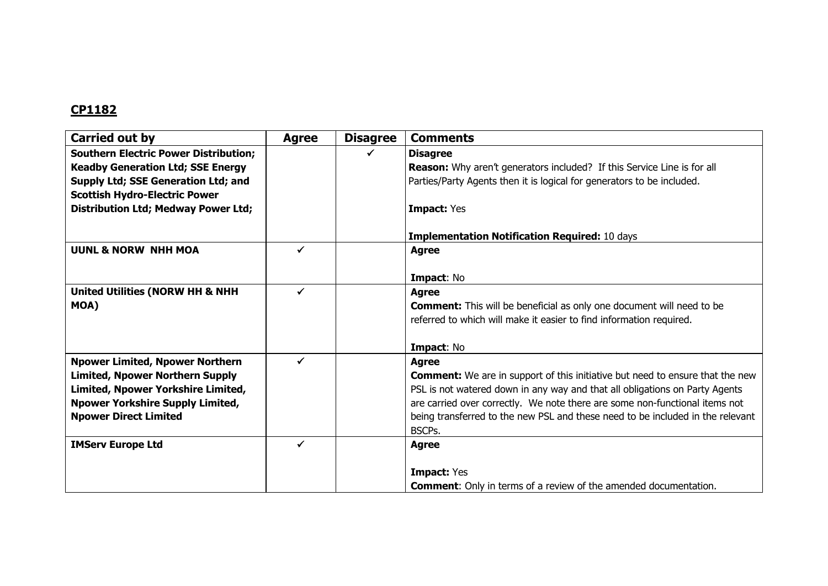| Carried out by                               | <b>Agree</b> | <b>Disagree</b> | <b>Comments</b>                                                                      |
|----------------------------------------------|--------------|-----------------|--------------------------------------------------------------------------------------|
| <b>Southern Electric Power Distribution;</b> |              |                 | <b>Disagree</b>                                                                      |
| <b>Keadby Generation Ltd; SSE Energy</b>     |              |                 | <b>Reason:</b> Why aren't generators included? If this Service Line is for all       |
| Supply Ltd; SSE Generation Ltd; and          |              |                 | Parties/Party Agents then it is logical for generators to be included.               |
| <b>Scottish Hydro-Electric Power</b>         |              |                 |                                                                                      |
| <b>Distribution Ltd; Medway Power Ltd;</b>   |              |                 | <b>Impact: Yes</b>                                                                   |
|                                              |              |                 | <b>Implementation Notification Required: 10 days</b>                                 |
| <b>UUNL &amp; NORW NHH MOA</b>               | ✔            |                 | <b>Agree</b>                                                                         |
|                                              |              |                 | Impact: No                                                                           |
| <b>United Utilities (NORW HH &amp; NHH</b>   | ✔            |                 | <b>Agree</b>                                                                         |
| MOA)                                         |              |                 | <b>Comment:</b> This will be beneficial as only one document will need to be         |
|                                              |              |                 | referred to which will make it easier to find information required.                  |
|                                              |              |                 | Impact: No                                                                           |
| <b>Npower Limited, Npower Northern</b>       |              |                 | <b>Agree</b>                                                                         |
| <b>Limited, Npower Northern Supply</b>       |              |                 | <b>Comment:</b> We are in support of this initiative but need to ensure that the new |
| Limited, Npower Yorkshire Limited,           |              |                 | PSL is not watered down in any way and that all obligations on Party Agents          |
| <b>Npower Yorkshire Supply Limited,</b>      |              |                 | are carried over correctly. We note there are some non-functional items not          |
| <b>Npower Direct Limited</b>                 |              |                 | being transferred to the new PSL and these need to be included in the relevant       |
|                                              |              |                 | BSCPs.                                                                               |
| <b>IMServ Europe Ltd</b>                     | ✓            |                 | <b>Agree</b>                                                                         |
|                                              |              |                 | <b>Impact: Yes</b>                                                                   |
|                                              |              |                 | <b>Comment:</b> Only in terms of a review of the amended documentation.              |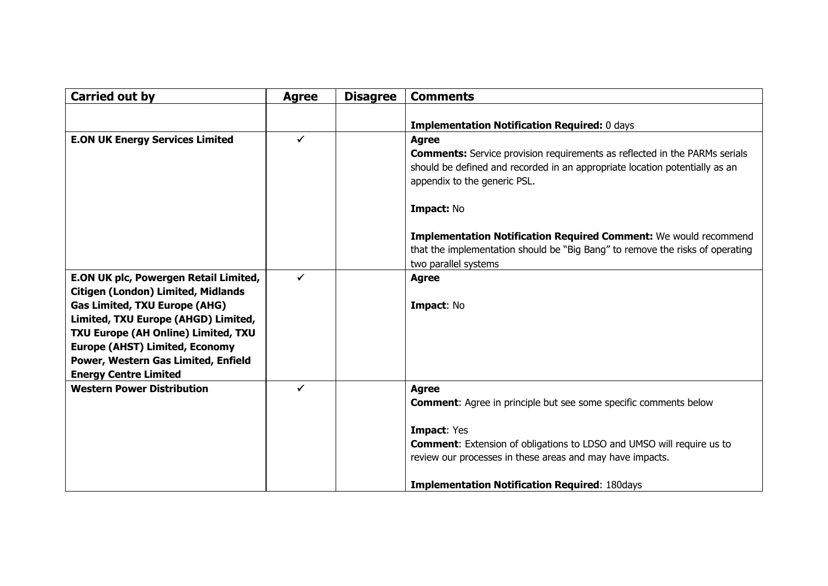| <b>Carried out by</b>                     | <b>Agree</b> | <b>Disagree</b> | <b>Comments</b>                                                                   |
|-------------------------------------------|--------------|-----------------|-----------------------------------------------------------------------------------|
|                                           |              |                 |                                                                                   |
|                                           |              |                 | <b>Implementation Notification Required: 0 days</b>                               |
| <b>E.ON UK Energy Services Limited</b>    | $\checkmark$ |                 | <b>Agree</b>                                                                      |
|                                           |              |                 | <b>Comments:</b> Service provision requirements as reflected in the PARMs serials |
|                                           |              |                 | should be defined and recorded in an appropriate location potentially as an       |
|                                           |              |                 | appendix to the generic PSL.                                                      |
|                                           |              |                 | Impact: No                                                                        |
|                                           |              |                 | <b>Implementation Notification Required Comment:</b> We would recommend           |
|                                           |              |                 | that the implementation should be "Big Bang" to remove the risks of operating     |
|                                           |              |                 | two parallel systems                                                              |
| E.ON UK plc, Powergen Retail Limited,     | ✓            |                 | <b>Agree</b>                                                                      |
| <b>Citigen (London) Limited, Midlands</b> |              |                 |                                                                                   |
| <b>Gas Limited, TXU Europe (AHG)</b>      |              |                 | Impact: No                                                                        |
| Limited, TXU Europe (AHGD) Limited,       |              |                 |                                                                                   |
| TXU Europe (AH Online) Limited, TXU       |              |                 |                                                                                   |
| <b>Europe (AHST) Limited, Economy</b>     |              |                 |                                                                                   |
| Power, Western Gas Limited, Enfield       |              |                 |                                                                                   |
| <b>Energy Centre Limited</b>              |              |                 |                                                                                   |
| <b>Western Power Distribution</b>         | ✔            |                 | <b>Agree</b>                                                                      |
|                                           |              |                 | <b>Comment:</b> Agree in principle but see some specific comments below           |
|                                           |              |                 | <b>Impact: Yes</b>                                                                |
|                                           |              |                 | <b>Comment:</b> Extension of obligations to LDSO and UMSO will require us to      |
|                                           |              |                 | review our processes in these areas and may have impacts.                         |
|                                           |              |                 | <b>Implementation Notification Required: 180days</b>                              |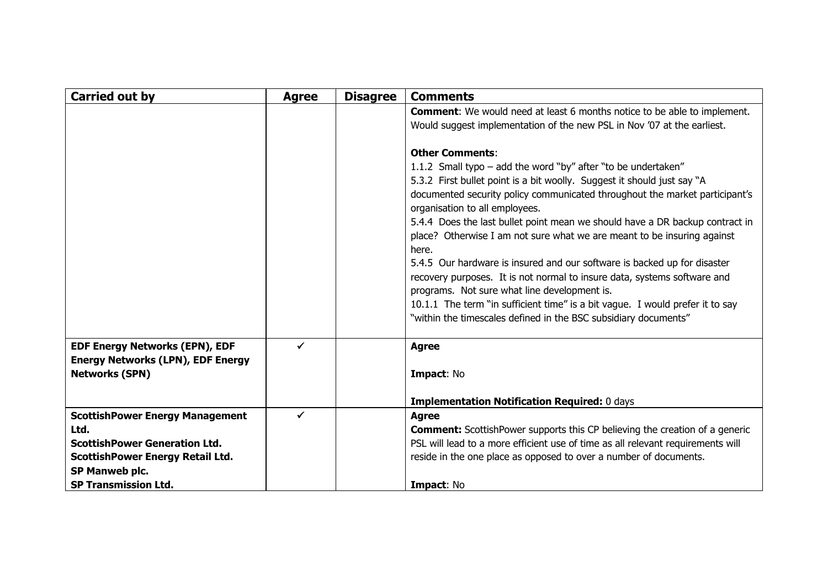| <b>Carried out by</b>                                                                                                             | <b>Agree</b> | <b>Disagree</b> | <b>Comments</b>                                                                                                                                                                                                                                                                                                                                                                                                                                                                                                                                                                                                                                                                                                                                                                                                     |
|-----------------------------------------------------------------------------------------------------------------------------------|--------------|-----------------|---------------------------------------------------------------------------------------------------------------------------------------------------------------------------------------------------------------------------------------------------------------------------------------------------------------------------------------------------------------------------------------------------------------------------------------------------------------------------------------------------------------------------------------------------------------------------------------------------------------------------------------------------------------------------------------------------------------------------------------------------------------------------------------------------------------------|
|                                                                                                                                   |              |                 | <b>Comment:</b> We would need at least 6 months notice to be able to implement.<br>Would suggest implementation of the new PSL in Nov '07 at the earliest.                                                                                                                                                                                                                                                                                                                                                                                                                                                                                                                                                                                                                                                          |
|                                                                                                                                   |              |                 | <b>Other Comments:</b><br>1.1.2 Small typo - add the word "by" after "to be undertaken"<br>5.3.2 First bullet point is a bit woolly. Suggest it should just say "A<br>documented security policy communicated throughout the market participant's<br>organisation to all employees.<br>5.4.4 Does the last bullet point mean we should have a DR backup contract in<br>place? Otherwise I am not sure what we are meant to be insuring against<br>here.<br>5.4.5 Our hardware is insured and our software is backed up for disaster<br>recovery purposes. It is not normal to insure data, systems software and<br>programs. Not sure what line development is.<br>10.1.1 The term "in sufficient time" is a bit vague. I would prefer it to say<br>"within the timescales defined in the BSC subsidiary documents" |
| <b>EDF Energy Networks (EPN), EDF</b><br><b>Energy Networks (LPN), EDF Energy</b><br><b>Networks (SPN)</b>                        | ✓            |                 | <b>Agree</b><br>Impact: No                                                                                                                                                                                                                                                                                                                                                                                                                                                                                                                                                                                                                                                                                                                                                                                          |
|                                                                                                                                   |              |                 | <b>Implementation Notification Required: 0 days</b>                                                                                                                                                                                                                                                                                                                                                                                                                                                                                                                                                                                                                                                                                                                                                                 |
| <b>ScottishPower Energy Management</b><br>Ltd.<br><b>ScottishPower Generation Ltd.</b><br><b>ScottishPower Energy Retail Ltd.</b> | $\checkmark$ |                 | <b>Agree</b><br><b>Comment:</b> ScottishPower supports this CP believing the creation of a generic<br>PSL will lead to a more efficient use of time as all relevant requirements will<br>reside in the one place as opposed to over a number of documents.                                                                                                                                                                                                                                                                                                                                                                                                                                                                                                                                                          |
| SP Manweb plc.<br><b>SP Transmission Ltd.</b>                                                                                     |              |                 | Impact: No                                                                                                                                                                                                                                                                                                                                                                                                                                                                                                                                                                                                                                                                                                                                                                                                          |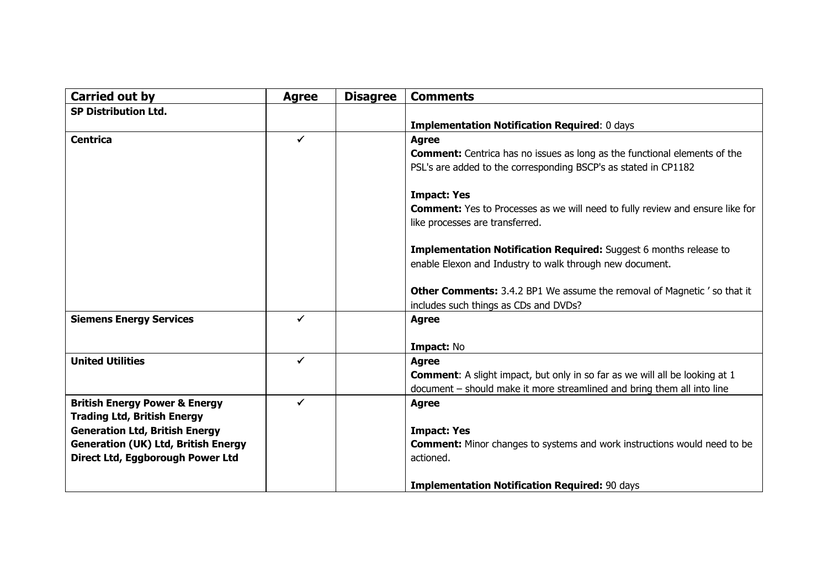| <b>Carried out by</b>                      | <b>Agree</b> | <b>Disagree</b> | <b>Comments</b>                                                                      |
|--------------------------------------------|--------------|-----------------|--------------------------------------------------------------------------------------|
| <b>SP Distribution Ltd.</b>                |              |                 |                                                                                      |
|                                            |              |                 | <b>Implementation Notification Required: 0 days</b>                                  |
| <b>Centrica</b>                            | $\checkmark$ |                 | <b>Agree</b>                                                                         |
|                                            |              |                 | <b>Comment:</b> Centrica has no issues as long as the functional elements of the     |
|                                            |              |                 | PSL's are added to the corresponding BSCP's as stated in CP1182                      |
|                                            |              |                 | <b>Impact: Yes</b>                                                                   |
|                                            |              |                 | <b>Comment:</b> Yes to Processes as we will need to fully review and ensure like for |
|                                            |              |                 | like processes are transferred.                                                      |
|                                            |              |                 | Implementation Notification Required: Suggest 6 months release to                    |
|                                            |              |                 | enable Elexon and Industry to walk through new document.                             |
|                                            |              |                 |                                                                                      |
|                                            |              |                 | <b>Other Comments:</b> 3.4.2 BP1 We assume the removal of Magnetic's o that it       |
|                                            |              |                 | includes such things as CDs and DVDs?                                                |
| <b>Siemens Energy Services</b>             | ✔            |                 | <b>Agree</b>                                                                         |
|                                            |              |                 |                                                                                      |
|                                            |              |                 | Impact: No                                                                           |
| <b>United Utilities</b>                    | ✓            |                 | <b>Agree</b>                                                                         |
|                                            |              |                 | <b>Comment:</b> A slight impact, but only in so far as we will all be looking at 1   |
|                                            |              |                 | document - should make it more streamlined and bring them all into line              |
| <b>British Energy Power &amp; Energy</b>   | ✓            |                 | <b>Agree</b>                                                                         |
| <b>Trading Ltd, British Energy</b>         |              |                 |                                                                                      |
| <b>Generation Ltd, British Energy</b>      |              |                 | <b>Impact: Yes</b>                                                                   |
| <b>Generation (UK) Ltd, British Energy</b> |              |                 | <b>Comment:</b> Minor changes to systems and work instructions would need to be      |
| Direct Ltd, Eggborough Power Ltd           |              |                 | actioned.                                                                            |
|                                            |              |                 |                                                                                      |
|                                            |              |                 | <b>Implementation Notification Required: 90 days</b>                                 |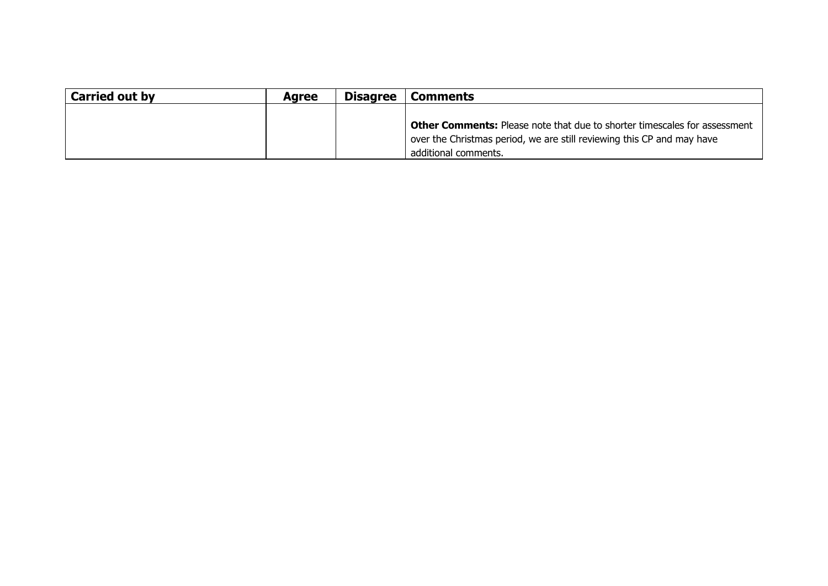| <b>Carried out by</b> | <b>Agree</b> | <b>Disagree</b> | <b>Comments</b>                                                                  |
|-----------------------|--------------|-----------------|----------------------------------------------------------------------------------|
|                       |              |                 |                                                                                  |
|                       |              |                 | <b>Other Comments:</b> Please note that due to shorter timescales for assessment |
|                       |              |                 | over the Christmas period, we are still reviewing this CP and may have           |
|                       |              |                 | additional comments.                                                             |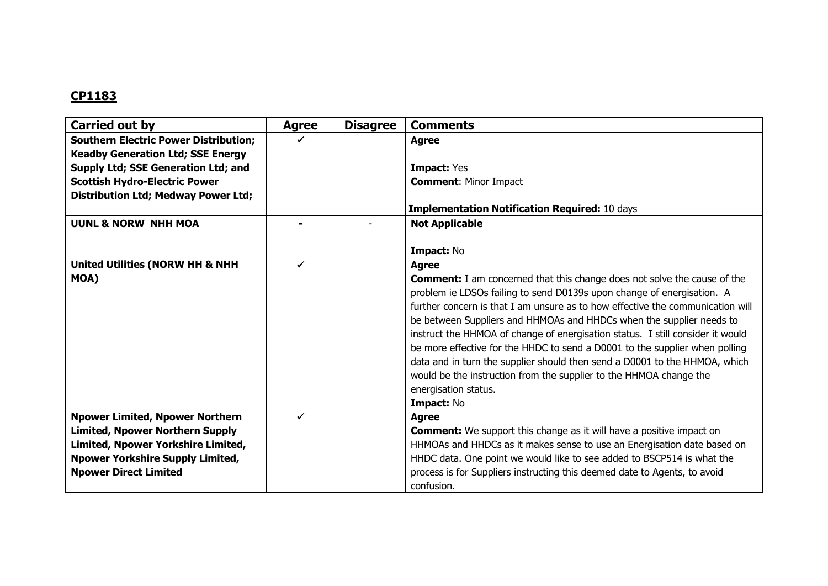| Carried out by                                                                           | <b>Agree</b> | <b>Disagree</b> | <b>Comments</b>                                                                 |
|------------------------------------------------------------------------------------------|--------------|-----------------|---------------------------------------------------------------------------------|
| <b>Southern Electric Power Distribution;</b><br><b>Keadby Generation Ltd; SSE Energy</b> |              |                 | <b>Agree</b>                                                                    |
| Supply Ltd; SSE Generation Ltd; and                                                      |              |                 | <b>Impact: Yes</b>                                                              |
| <b>Scottish Hydro-Electric Power</b>                                                     |              |                 | <b>Comment: Minor Impact</b>                                                    |
| <b>Distribution Ltd; Medway Power Ltd;</b>                                               |              |                 |                                                                                 |
|                                                                                          |              |                 | <b>Implementation Notification Required: 10 days</b>                            |
|                                                                                          |              |                 |                                                                                 |
| <b>UUNL &amp; NORW NHH MOA</b>                                                           |              |                 | <b>Not Applicable</b>                                                           |
|                                                                                          |              |                 | Impact: No                                                                      |
| <b>United Utilities (NORW HH &amp; NHH</b>                                               |              |                 | <b>Agree</b>                                                                    |
| MOA)                                                                                     |              |                 | <b>Comment:</b> I am concerned that this change does not solve the cause of the |
|                                                                                          |              |                 | problem ie LDSOs failing to send D0139s upon change of energisation. A          |
|                                                                                          |              |                 | further concern is that I am unsure as to how effective the communication will  |
|                                                                                          |              |                 | be between Suppliers and HHMOAs and HHDCs when the supplier needs to            |
|                                                                                          |              |                 | instruct the HHMOA of change of energisation status. I still consider it would  |
|                                                                                          |              |                 | be more effective for the HHDC to send a D0001 to the supplier when polling     |
|                                                                                          |              |                 | data and in turn the supplier should then send a D0001 to the HHMOA, which      |
|                                                                                          |              |                 | would be the instruction from the supplier to the HHMOA change the              |
|                                                                                          |              |                 | energisation status.                                                            |
|                                                                                          |              |                 | Impact: No                                                                      |
| <b>Npower Limited, Npower Northern</b>                                                   |              |                 | <b>Agree</b>                                                                    |
| <b>Limited, Npower Northern Supply</b>                                                   |              |                 | <b>Comment:</b> We support this change as it will have a positive impact on     |
| Limited, Npower Yorkshire Limited,                                                       |              |                 | HHMOAs and HHDCs as it makes sense to use an Energisation date based on         |
| <b>Npower Yorkshire Supply Limited,</b>                                                  |              |                 | HHDC data. One point we would like to see added to BSCP514 is what the          |
| <b>Npower Direct Limited</b>                                                             |              |                 | process is for Suppliers instructing this deemed date to Agents, to avoid       |
|                                                                                          |              |                 | confusion.                                                                      |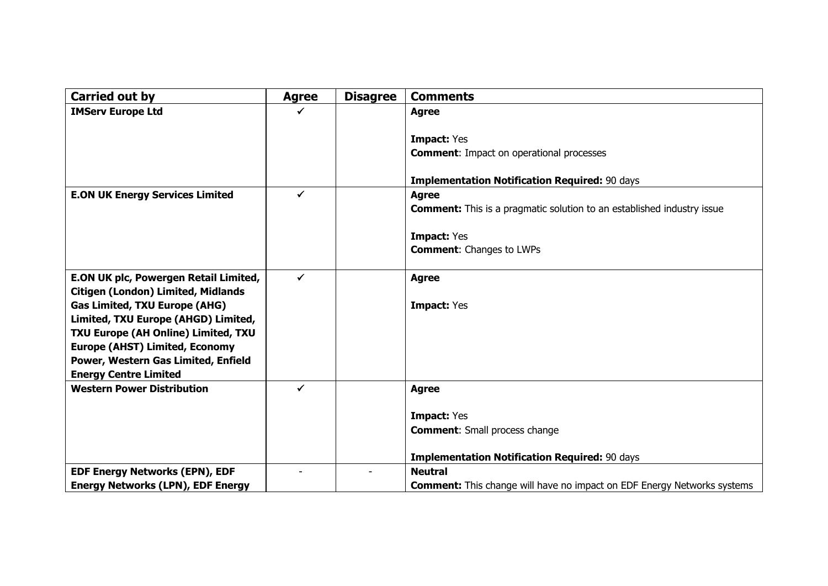| Carried out by                                                               | <b>Agree</b> | <b>Disagree</b> | <b>Comments</b>                                                                |
|------------------------------------------------------------------------------|--------------|-----------------|--------------------------------------------------------------------------------|
| <b>IMServ Europe Ltd</b>                                                     | ✓            |                 | <b>Agree</b>                                                                   |
|                                                                              |              |                 |                                                                                |
|                                                                              |              |                 | Impact: Yes                                                                    |
|                                                                              |              |                 | <b>Comment:</b> Impact on operational processes                                |
|                                                                              |              |                 | <b>Implementation Notification Required: 90 days</b>                           |
| <b>E.ON UK Energy Services Limited</b>                                       | $\checkmark$ |                 | <b>Agree</b>                                                                   |
|                                                                              |              |                 | <b>Comment:</b> This is a pragmatic solution to an established industry issue  |
|                                                                              |              |                 |                                                                                |
|                                                                              |              |                 | <b>Impact: Yes</b>                                                             |
|                                                                              |              |                 | <b>Comment:</b> Changes to LWPs                                                |
|                                                                              |              |                 |                                                                                |
| E.ON UK plc, Powergen Retail Limited,                                        | $\checkmark$ |                 | <b>Agree</b>                                                                   |
| <b>Citigen (London) Limited, Midlands</b>                                    |              |                 |                                                                                |
| <b>Gas Limited, TXU Europe (AHG)</b>                                         |              |                 | <b>Impact: Yes</b>                                                             |
| Limited, TXU Europe (AHGD) Limited,                                          |              |                 |                                                                                |
| TXU Europe (AH Online) Limited, TXU                                          |              |                 |                                                                                |
| <b>Europe (AHST) Limited, Economy</b><br>Power, Western Gas Limited, Enfield |              |                 |                                                                                |
| <b>Energy Centre Limited</b>                                                 |              |                 |                                                                                |
| <b>Western Power Distribution</b>                                            | $\checkmark$ |                 | <b>Agree</b>                                                                   |
|                                                                              |              |                 |                                                                                |
|                                                                              |              |                 | <b>Impact: Yes</b>                                                             |
|                                                                              |              |                 | <b>Comment:</b> Small process change                                           |
|                                                                              |              |                 | <b>Implementation Notification Required: 90 days</b>                           |
| <b>EDF Energy Networks (EPN), EDF</b>                                        |              |                 | <b>Neutral</b>                                                                 |
| <b>Energy Networks (LPN), EDF Energy</b>                                     |              |                 | <b>Comment:</b> This change will have no impact on EDF Energy Networks systems |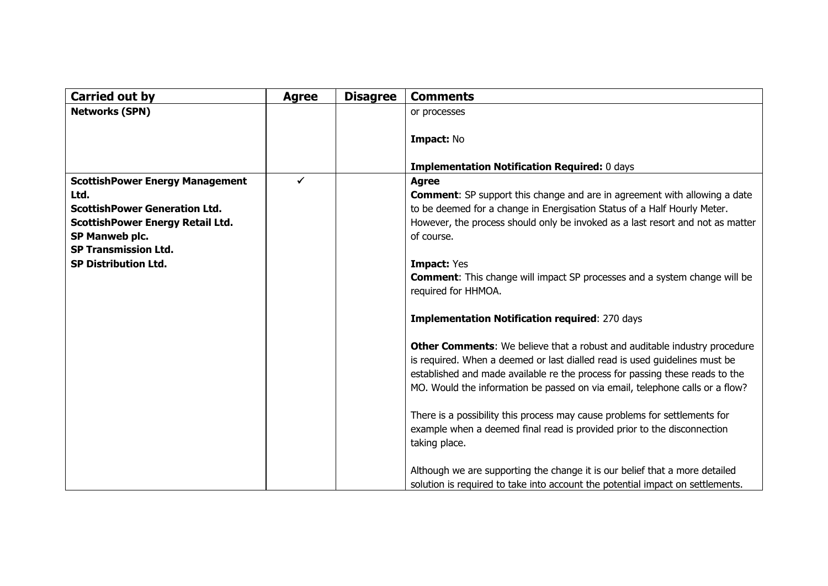| <b>Carried out by</b>                                                                                                                                                                                             | <b>Agree</b> | <b>Disagree</b> | <b>Comments</b>                                                                                                                                                                                                                                                                                                                                                                                                                                                                                                                                                                                                                                                                                                                                                                                                                                                                                                                                                                                                                                                                                                                              |
|-------------------------------------------------------------------------------------------------------------------------------------------------------------------------------------------------------------------|--------------|-----------------|----------------------------------------------------------------------------------------------------------------------------------------------------------------------------------------------------------------------------------------------------------------------------------------------------------------------------------------------------------------------------------------------------------------------------------------------------------------------------------------------------------------------------------------------------------------------------------------------------------------------------------------------------------------------------------------------------------------------------------------------------------------------------------------------------------------------------------------------------------------------------------------------------------------------------------------------------------------------------------------------------------------------------------------------------------------------------------------------------------------------------------------------|
| <b>Networks (SPN)</b>                                                                                                                                                                                             |              |                 | or processes                                                                                                                                                                                                                                                                                                                                                                                                                                                                                                                                                                                                                                                                                                                                                                                                                                                                                                                                                                                                                                                                                                                                 |
|                                                                                                                                                                                                                   |              |                 | Impact: No<br><b>Implementation Notification Required: 0 days</b>                                                                                                                                                                                                                                                                                                                                                                                                                                                                                                                                                                                                                                                                                                                                                                                                                                                                                                                                                                                                                                                                            |
| <b>ScottishPower Energy Management</b><br>Ltd.<br><b>ScottishPower Generation Ltd.</b><br><b>ScottishPower Energy Retail Ltd.</b><br>SP Manweb plc.<br><b>SP Transmission Ltd.</b><br><b>SP Distribution Ltd.</b> | ✓            |                 | <b>Agree</b><br><b>Comment:</b> SP support this change and are in agreement with allowing a date<br>to be deemed for a change in Energisation Status of a Half Hourly Meter.<br>However, the process should only be invoked as a last resort and not as matter<br>of course.<br><b>Impact: Yes</b><br><b>Comment:</b> This change will impact SP processes and a system change will be<br>required for HHMOA.<br><b>Implementation Notification required: 270 days</b><br>Other Comments: We believe that a robust and auditable industry procedure<br>is required. When a deemed or last dialled read is used guidelines must be<br>established and made available re the process for passing these reads to the<br>MO. Would the information be passed on via email, telephone calls or a flow?<br>There is a possibility this process may cause problems for settlements for<br>example when a deemed final read is provided prior to the disconnection<br>taking place.<br>Although we are supporting the change it is our belief that a more detailed<br>solution is required to take into account the potential impact on settlements. |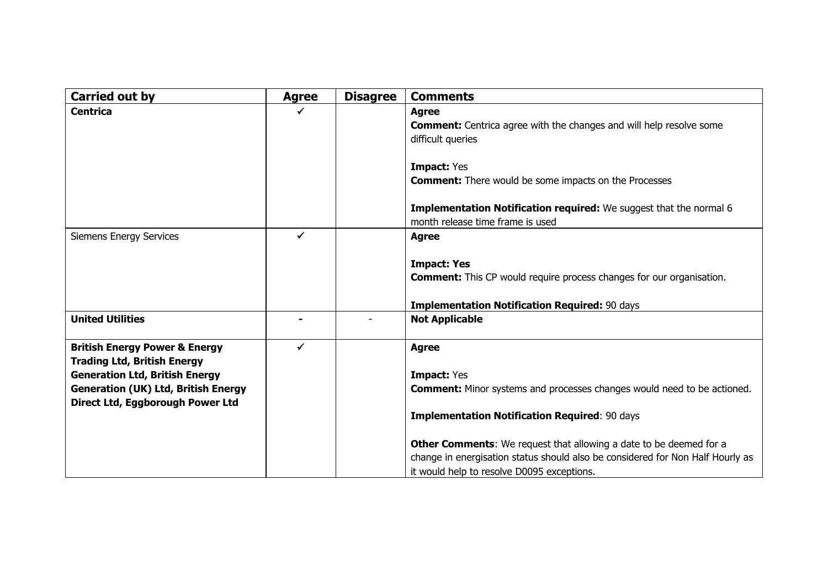| Carried out by                                                                                                                                                                                            | <b>Agree</b> | <b>Disagree</b> | <b>Comments</b>                                                                                                                                                                                                                                                                                                                                                                           |
|-----------------------------------------------------------------------------------------------------------------------------------------------------------------------------------------------------------|--------------|-----------------|-------------------------------------------------------------------------------------------------------------------------------------------------------------------------------------------------------------------------------------------------------------------------------------------------------------------------------------------------------------------------------------------|
| <b>Centrica</b>                                                                                                                                                                                           |              |                 | <b>Agree</b><br><b>Comment:</b> Centrica agree with the changes and will help resolve some<br>difficult queries<br><b>Impact: Yes</b>                                                                                                                                                                                                                                                     |
|                                                                                                                                                                                                           |              |                 | <b>Comment:</b> There would be some impacts on the Processes<br>Implementation Notification required: We suggest that the normal 6<br>month release time frame is used                                                                                                                                                                                                                    |
| <b>Siemens Energy Services</b>                                                                                                                                                                            | ✓            |                 | <b>Agree</b><br><b>Impact: Yes</b><br><b>Comment:</b> This CP would require process changes for our organisation.<br><b>Implementation Notification Required: 90 days</b>                                                                                                                                                                                                                 |
| <b>United Utilities</b>                                                                                                                                                                                   |              |                 | <b>Not Applicable</b>                                                                                                                                                                                                                                                                                                                                                                     |
| <b>British Energy Power &amp; Energy</b><br><b>Trading Ltd, British Energy</b><br><b>Generation Ltd, British Energy</b><br><b>Generation (UK) Ltd, British Energy</b><br>Direct Ltd, Eggborough Power Ltd | ✔            |                 | <b>Agree</b><br><b>Impact: Yes</b><br><b>Comment:</b> Minor systems and processes changes would need to be actioned.<br><b>Implementation Notification Required: 90 days</b><br><b>Other Comments:</b> We request that allowing a date to be deemed for a<br>change in energisation status should also be considered for Non Half Hourly as<br>it would help to resolve D0095 exceptions. |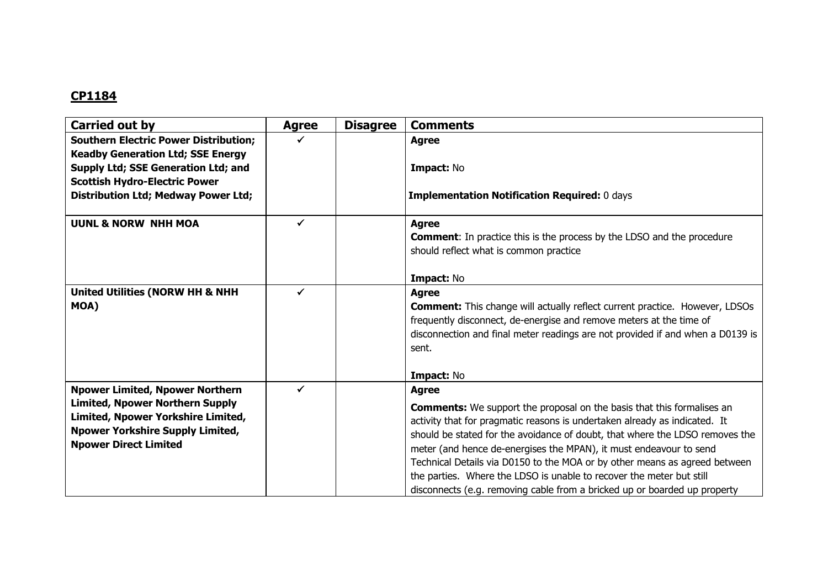| <b>Carried out by</b>                                                                    | <b>Agree</b> | <b>Disagree</b> | <b>Comments</b>                                                                    |
|------------------------------------------------------------------------------------------|--------------|-----------------|------------------------------------------------------------------------------------|
| <b>Southern Electric Power Distribution;</b><br><b>Keadby Generation Ltd; SSE Energy</b> |              |                 | <b>Agree</b>                                                                       |
| Supply Ltd; SSE Generation Ltd; and                                                      |              |                 | Impact: No                                                                         |
| <b>Scottish Hydro-Electric Power</b>                                                     |              |                 |                                                                                    |
| <b>Distribution Ltd; Medway Power Ltd;</b>                                               |              |                 | <b>Implementation Notification Required: 0 days</b>                                |
| <b>UUNL &amp; NORW NHH MOA</b>                                                           | $\checkmark$ |                 | <b>Agree</b>                                                                       |
|                                                                                          |              |                 | <b>Comment:</b> In practice this is the process by the LDSO and the procedure      |
|                                                                                          |              |                 | should reflect what is common practice                                             |
|                                                                                          |              |                 | Impact: No                                                                         |
| <b>United Utilities (NORW HH &amp; NHH</b>                                               | ✓            |                 | <b>Agree</b>                                                                       |
| MOA)                                                                                     |              |                 | <b>Comment:</b> This change will actually reflect current practice. However, LDSOs |
|                                                                                          |              |                 | frequently disconnect, de-energise and remove meters at the time of                |
|                                                                                          |              |                 | disconnection and final meter readings are not provided if and when a D0139 is     |
|                                                                                          |              |                 | sent.                                                                              |
|                                                                                          |              |                 | Impact: No                                                                         |
| <b>Npower Limited, Npower Northern</b>                                                   |              |                 | <b>Agree</b>                                                                       |
| <b>Limited, Npower Northern Supply</b>                                                   |              |                 | <b>Comments:</b> We support the proposal on the basis that this formalises an      |
| Limited, Npower Yorkshire Limited,                                                       |              |                 | activity that for pragmatic reasons is undertaken already as indicated. It         |
| <b>Npower Yorkshire Supply Limited,</b>                                                  |              |                 | should be stated for the avoidance of doubt, that where the LDSO removes the       |
| <b>Npower Direct Limited</b>                                                             |              |                 | meter (and hence de-energises the MPAN), it must endeavour to send                 |
|                                                                                          |              |                 | Technical Details via D0150 to the MOA or by other means as agreed between         |
|                                                                                          |              |                 | the parties. Where the LDSO is unable to recover the meter but still               |
|                                                                                          |              |                 | disconnects (e.g. removing cable from a bricked up or boarded up property          |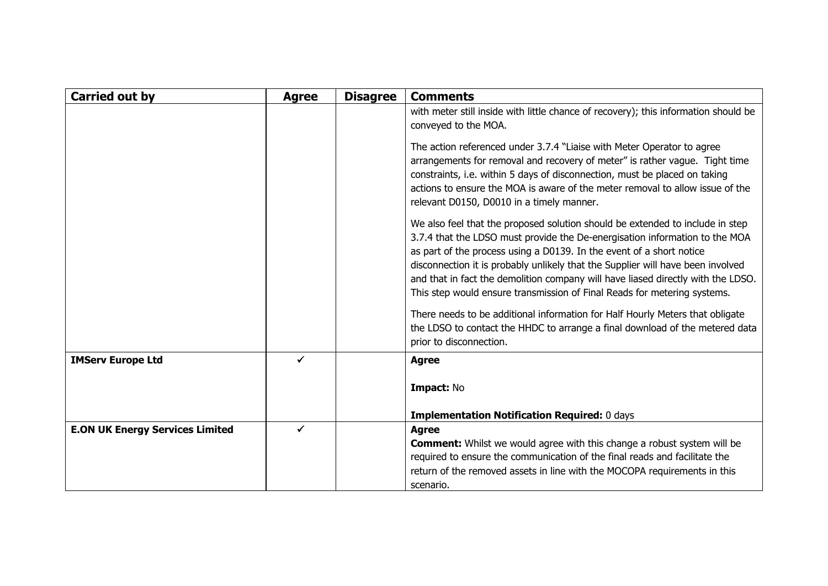| <b>Carried out by</b>                  | <b>Agree</b> | <b>Disagree</b> | <b>Comments</b>                                                                                                                                                                                                                                                                                                                                                                                                                                                                         |
|----------------------------------------|--------------|-----------------|-----------------------------------------------------------------------------------------------------------------------------------------------------------------------------------------------------------------------------------------------------------------------------------------------------------------------------------------------------------------------------------------------------------------------------------------------------------------------------------------|
|                                        |              |                 | with meter still inside with little chance of recovery); this information should be<br>conveyed to the MOA.                                                                                                                                                                                                                                                                                                                                                                             |
|                                        |              |                 | The action referenced under 3.7.4 "Liaise with Meter Operator to agree<br>arrangements for removal and recovery of meter" is rather vague. Tight time<br>constraints, i.e. within 5 days of disconnection, must be placed on taking<br>actions to ensure the MOA is aware of the meter removal to allow issue of the<br>relevant D0150, D0010 in a timely manner.                                                                                                                       |
|                                        |              |                 | We also feel that the proposed solution should be extended to include in step<br>3.7.4 that the LDSO must provide the De-energisation information to the MOA<br>as part of the process using a D0139. In the event of a short notice<br>disconnection it is probably unlikely that the Supplier will have been involved<br>and that in fact the demolition company will have liased directly with the LDSO.<br>This step would ensure transmission of Final Reads for metering systems. |
|                                        |              |                 | There needs to be additional information for Half Hourly Meters that obligate<br>the LDSO to contact the HHDC to arrange a final download of the metered data<br>prior to disconnection.                                                                                                                                                                                                                                                                                                |
| <b>IMServ Europe Ltd</b>               | ✔            |                 | <b>Agree</b>                                                                                                                                                                                                                                                                                                                                                                                                                                                                            |
|                                        |              |                 | Impact: No                                                                                                                                                                                                                                                                                                                                                                                                                                                                              |
|                                        |              |                 | <b>Implementation Notification Required: 0 days</b>                                                                                                                                                                                                                                                                                                                                                                                                                                     |
| <b>E.ON UK Energy Services Limited</b> | ✓            |                 | <b>Agree</b><br><b>Comment:</b> Whilst we would agree with this change a robust system will be<br>required to ensure the communication of the final reads and facilitate the<br>return of the removed assets in line with the MOCOPA requirements in this<br>scenario.                                                                                                                                                                                                                  |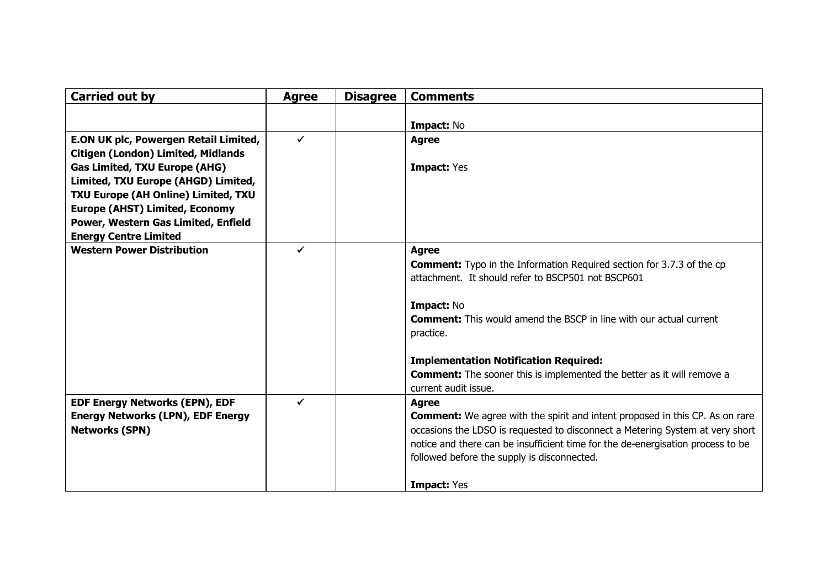| <b>Carried out by</b>                     | <b>Agree</b> | <b>Disagree</b> | <b>Comments</b>                                                                     |
|-------------------------------------------|--------------|-----------------|-------------------------------------------------------------------------------------|
|                                           |              |                 |                                                                                     |
|                                           |              |                 | Impact: No                                                                          |
| E.ON UK plc, Powergen Retail Limited,     | ✓            |                 | <b>Agree</b>                                                                        |
| <b>Citigen (London) Limited, Midlands</b> |              |                 |                                                                                     |
| <b>Gas Limited, TXU Europe (AHG)</b>      |              |                 | Impact: Yes                                                                         |
| Limited, TXU Europe (AHGD) Limited,       |              |                 |                                                                                     |
| TXU Europe (AH Online) Limited, TXU       |              |                 |                                                                                     |
| <b>Europe (AHST) Limited, Economy</b>     |              |                 |                                                                                     |
| Power, Western Gas Limited, Enfield       |              |                 |                                                                                     |
| <b>Energy Centre Limited</b>              |              |                 |                                                                                     |
| <b>Western Power Distribution</b>         | ✓            |                 | <b>Agree</b>                                                                        |
|                                           |              |                 | <b>Comment:</b> Typo in the Information Required section for 3.7.3 of the cp        |
|                                           |              |                 | attachment. It should refer to BSCP501 not BSCP601                                  |
|                                           |              |                 |                                                                                     |
|                                           |              |                 | Impact: No                                                                          |
|                                           |              |                 | <b>Comment:</b> This would amend the BSCP in line with our actual current           |
|                                           |              |                 | practice.                                                                           |
|                                           |              |                 | <b>Implementation Notification Required:</b>                                        |
|                                           |              |                 | <b>Comment:</b> The sooner this is implemented the better as it will remove a       |
|                                           |              |                 | current audit issue.                                                                |
| <b>EDF Energy Networks (EPN), EDF</b>     | ✔            |                 | <b>Agree</b>                                                                        |
| <b>Energy Networks (LPN), EDF Energy</b>  |              |                 | <b>Comment:</b> We agree with the spirit and intent proposed in this CP. As on rare |
| <b>Networks (SPN)</b>                     |              |                 | occasions the LDSO is requested to disconnect a Metering System at very short       |
|                                           |              |                 | notice and there can be insufficient time for the de-energisation process to be     |
|                                           |              |                 | followed before the supply is disconnected.                                         |
|                                           |              |                 |                                                                                     |
|                                           |              |                 | <b>Impact: Yes</b>                                                                  |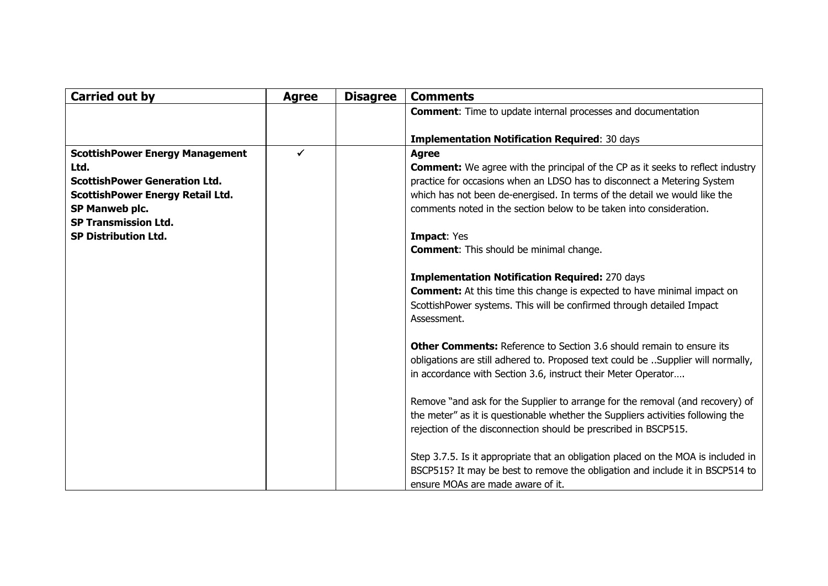| <b>Carried out by</b>                   | <b>Agree</b> | <b>Disagree</b> | <b>Comments</b>                                                                                                                         |
|-----------------------------------------|--------------|-----------------|-----------------------------------------------------------------------------------------------------------------------------------------|
|                                         |              |                 | <b>Comment:</b> Time to update internal processes and documentation                                                                     |
|                                         |              |                 |                                                                                                                                         |
|                                         |              |                 | <b>Implementation Notification Required: 30 days</b>                                                                                    |
| <b>ScottishPower Energy Management</b>  |              |                 | <b>Agree</b>                                                                                                                            |
| Ltd.                                    |              |                 | <b>Comment:</b> We agree with the principal of the CP as it seeks to reflect industry                                                   |
| <b>ScottishPower Generation Ltd.</b>    |              |                 | practice for occasions when an LDSO has to disconnect a Metering System                                                                 |
| <b>ScottishPower Energy Retail Ltd.</b> |              |                 | which has not been de-energised. In terms of the detail we would like the                                                               |
| SP Manweb plc.                          |              |                 | comments noted in the section below to be taken into consideration.                                                                     |
| <b>SP Transmission Ltd.</b>             |              |                 |                                                                                                                                         |
| <b>SP Distribution Ltd.</b>             |              |                 | <b>Impact: Yes</b>                                                                                                                      |
|                                         |              |                 | <b>Comment:</b> This should be minimal change.                                                                                          |
|                                         |              |                 |                                                                                                                                         |
|                                         |              |                 | <b>Implementation Notification Required: 270 days</b><br><b>Comment:</b> At this time this change is expected to have minimal impact on |
|                                         |              |                 | ScottishPower systems. This will be confirmed through detailed Impact                                                                   |
|                                         |              |                 | Assessment.                                                                                                                             |
|                                         |              |                 |                                                                                                                                         |
|                                         |              |                 | <b>Other Comments:</b> Reference to Section 3.6 should remain to ensure its                                                             |
|                                         |              |                 | obligations are still adhered to. Proposed text could be  Supplier will normally,                                                       |
|                                         |              |                 | in accordance with Section 3.6, instruct their Meter Operator                                                                           |
|                                         |              |                 |                                                                                                                                         |
|                                         |              |                 | Remove "and ask for the Supplier to arrange for the removal (and recovery) of                                                           |
|                                         |              |                 | the meter" as it is questionable whether the Suppliers activities following the                                                         |
|                                         |              |                 | rejection of the disconnection should be prescribed in BSCP515.                                                                         |
|                                         |              |                 |                                                                                                                                         |
|                                         |              |                 | Step 3.7.5. Is it appropriate that an obligation placed on the MOA is included in                                                       |
|                                         |              |                 | BSCP515? It may be best to remove the obligation and include it in BSCP514 to                                                           |
|                                         |              |                 | ensure MOAs are made aware of it.                                                                                                       |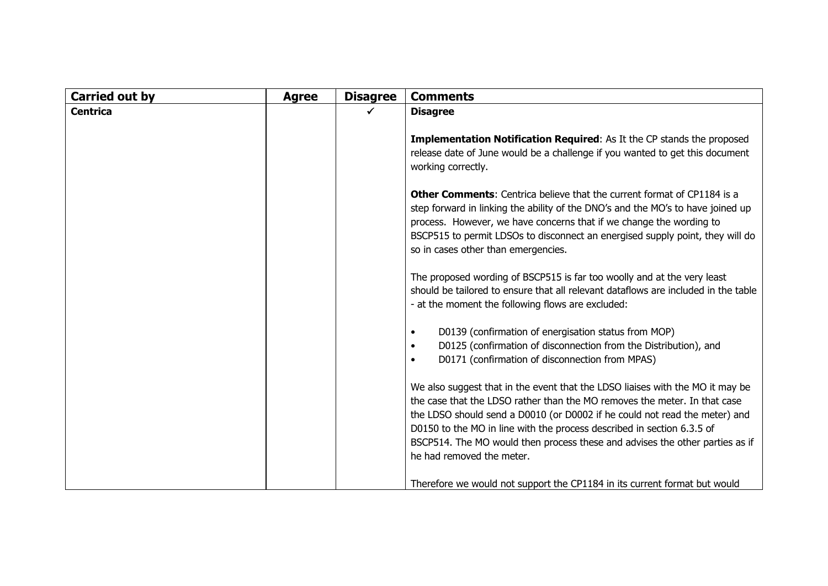| <b>Carried out by</b> | <b>Agree</b> | <b>Disagree</b> | <b>Comments</b>                                                                                                                                                                                                                                                                                                                                                                                                                 |
|-----------------------|--------------|-----------------|---------------------------------------------------------------------------------------------------------------------------------------------------------------------------------------------------------------------------------------------------------------------------------------------------------------------------------------------------------------------------------------------------------------------------------|
| <b>Centrica</b>       |              |                 | <b>Disagree</b>                                                                                                                                                                                                                                                                                                                                                                                                                 |
|                       |              |                 | Implementation Notification Required: As It the CP stands the proposed<br>release date of June would be a challenge if you wanted to get this document<br>working correctly.                                                                                                                                                                                                                                                    |
|                       |              |                 | <b>Other Comments:</b> Centrica believe that the current format of CP1184 is a<br>step forward in linking the ability of the DNO's and the MO's to have joined up<br>process. However, we have concerns that if we change the wording to<br>BSCP515 to permit LDSOs to disconnect an energised supply point, they will do<br>so in cases other than emergencies.                                                                |
|                       |              |                 | The proposed wording of BSCP515 is far too woolly and at the very least<br>should be tailored to ensure that all relevant dataflows are included in the table<br>- at the moment the following flows are excluded:                                                                                                                                                                                                              |
|                       |              |                 | D0139 (confirmation of energisation status from MOP)<br>$\bullet$<br>D0125 (confirmation of disconnection from the Distribution), and<br>$\bullet$<br>D0171 (confirmation of disconnection from MPAS)<br>$\bullet$                                                                                                                                                                                                              |
|                       |              |                 | We also suggest that in the event that the LDSO liaises with the MO it may be<br>the case that the LDSO rather than the MO removes the meter. In that case<br>the LDSO should send a D0010 (or D0002 if he could not read the meter) and<br>D0150 to the MO in line with the process described in section 6.3.5 of<br>BSCP514. The MO would then process these and advises the other parties as if<br>he had removed the meter. |
|                       |              |                 | Therefore we would not support the CP1184 in its current format but would                                                                                                                                                                                                                                                                                                                                                       |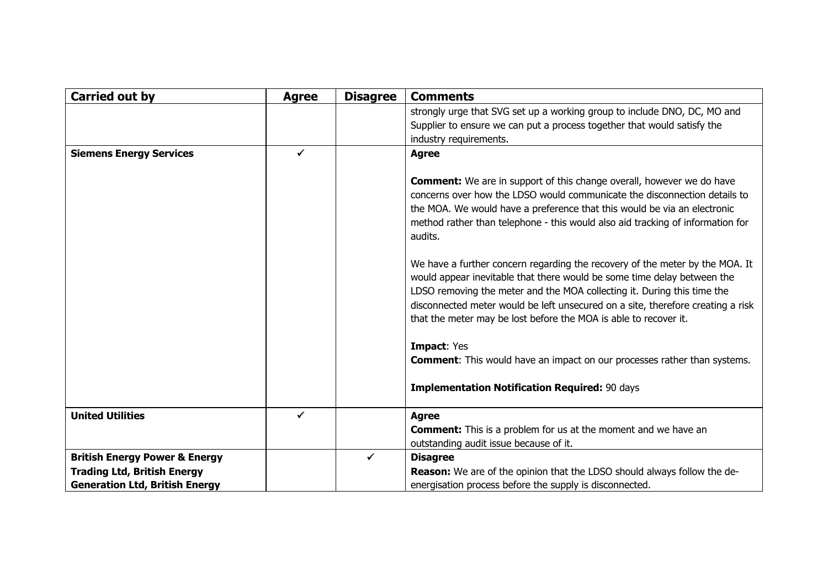| <b>Carried out by</b>                    | <b>Agree</b> | <b>Disagree</b> | <b>Comments</b>                                                                                                                                                                                                                                                                                                                                                                           |
|------------------------------------------|--------------|-----------------|-------------------------------------------------------------------------------------------------------------------------------------------------------------------------------------------------------------------------------------------------------------------------------------------------------------------------------------------------------------------------------------------|
|                                          |              |                 | strongly urge that SVG set up a working group to include DNO, DC, MO and<br>Supplier to ensure we can put a process together that would satisfy the<br>industry requirements.                                                                                                                                                                                                             |
| <b>Siemens Energy Services</b>           | ✓            |                 | <b>Agree</b>                                                                                                                                                                                                                                                                                                                                                                              |
|                                          |              |                 | <b>Comment:</b> We are in support of this change overall, however we do have<br>concerns over how the LDSO would communicate the disconnection details to<br>the MOA. We would have a preference that this would be via an electronic<br>method rather than telephone - this would also aid tracking of information for<br>audits.                                                        |
|                                          |              |                 | We have a further concern regarding the recovery of the meter by the MOA. It<br>would appear inevitable that there would be some time delay between the<br>LDSO removing the meter and the MOA collecting it. During this time the<br>disconnected meter would be left unsecured on a site, therefore creating a risk<br>that the meter may be lost before the MOA is able to recover it. |
|                                          |              |                 | <b>Impact: Yes</b><br><b>Comment:</b> This would have an impact on our processes rather than systems.                                                                                                                                                                                                                                                                                     |
|                                          |              |                 | <b>Implementation Notification Required: 90 days</b>                                                                                                                                                                                                                                                                                                                                      |
| <b>United Utilities</b>                  | $\checkmark$ |                 | <b>Agree</b>                                                                                                                                                                                                                                                                                                                                                                              |
|                                          |              |                 | <b>Comment:</b> This is a problem for us at the moment and we have an<br>outstanding audit issue because of it.                                                                                                                                                                                                                                                                           |
| <b>British Energy Power &amp; Energy</b> |              | $\checkmark$    | <b>Disagree</b>                                                                                                                                                                                                                                                                                                                                                                           |
| <b>Trading Ltd, British Energy</b>       |              |                 | <b>Reason:</b> We are of the opinion that the LDSO should always follow the de-                                                                                                                                                                                                                                                                                                           |
| <b>Generation Ltd, British Energy</b>    |              |                 | energisation process before the supply is disconnected.                                                                                                                                                                                                                                                                                                                                   |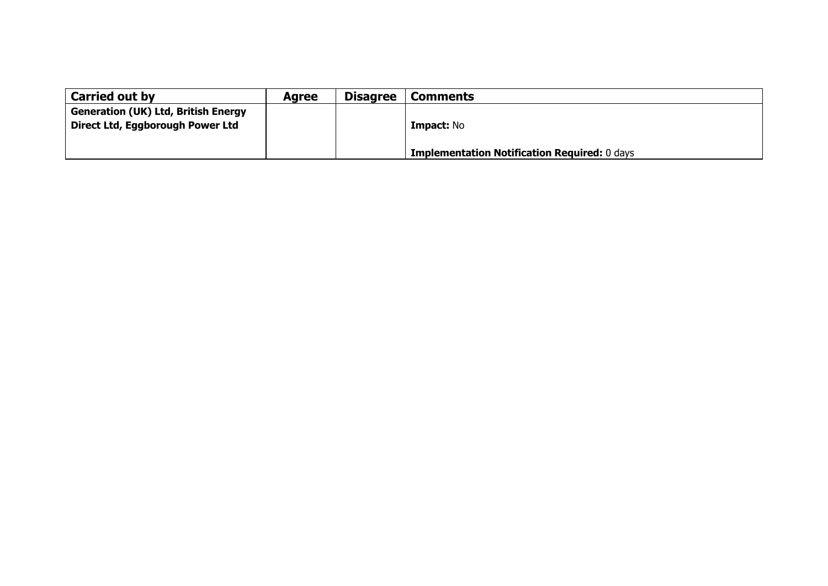| <b>Carried out by</b>                      | <b>Agree</b> | <b>Disagree</b> | <b>Comments</b>                                     |
|--------------------------------------------|--------------|-----------------|-----------------------------------------------------|
| <b>Generation (UK) Ltd, British Energy</b> |              |                 |                                                     |
| Direct Ltd, Eggborough Power Ltd           |              |                 | <b>Impact: No</b>                                   |
|                                            |              |                 |                                                     |
|                                            |              |                 | <b>Implementation Notification Required: 0 days</b> |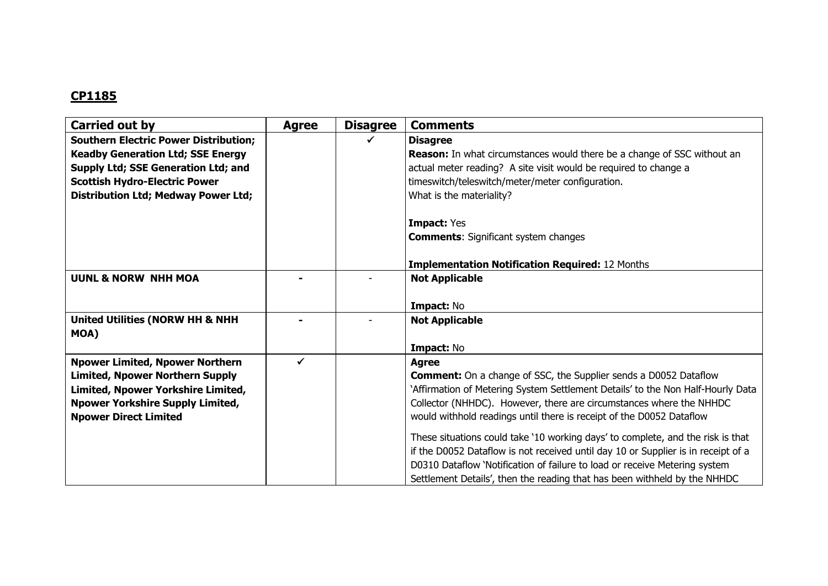| Carried out by                               | <b>Agree</b> | <b>Disagree</b> | <b>Comments</b>                                                                   |
|----------------------------------------------|--------------|-----------------|-----------------------------------------------------------------------------------|
| <b>Southern Electric Power Distribution;</b> |              |                 | <b>Disagree</b>                                                                   |
| <b>Keadby Generation Ltd; SSE Energy</b>     |              |                 | <b>Reason:</b> In what circumstances would there be a change of SSC without an    |
| Supply Ltd; SSE Generation Ltd; and          |              |                 | actual meter reading? A site visit would be required to change a                  |
| <b>Scottish Hydro-Electric Power</b>         |              |                 | timeswitch/teleswitch/meter/meter configuration.                                  |
| <b>Distribution Ltd; Medway Power Ltd;</b>   |              |                 | What is the materiality?                                                          |
|                                              |              |                 |                                                                                   |
|                                              |              |                 | <b>Impact: Yes</b>                                                                |
|                                              |              |                 | <b>Comments: Significant system changes</b>                                       |
|                                              |              |                 |                                                                                   |
|                                              |              |                 | <b>Implementation Notification Required: 12 Months</b>                            |
| <b>UUNL &amp; NORW NHH MOA</b>               |              |                 | <b>Not Applicable</b>                                                             |
|                                              |              |                 |                                                                                   |
|                                              |              |                 | Impact: No                                                                        |
| <b>United Utilities (NORW HH &amp; NHH</b>   |              |                 | <b>Not Applicable</b>                                                             |
| MOA)                                         |              |                 |                                                                                   |
|                                              |              |                 | Impact: No                                                                        |
| <b>Npower Limited, Npower Northern</b>       | ✓            |                 | <b>Agree</b>                                                                      |
| <b>Limited, Npower Northern Supply</b>       |              |                 | <b>Comment:</b> On a change of SSC, the Supplier sends a D0052 Dataflow           |
| Limited, Npower Yorkshire Limited,           |              |                 | 'Affirmation of Metering System Settlement Details' to the Non Half-Hourly Data   |
| <b>Npower Yorkshire Supply Limited,</b>      |              |                 | Collector (NHHDC). However, there are circumstances where the NHHDC               |
| <b>Npower Direct Limited</b>                 |              |                 | would withhold readings until there is receipt of the D0052 Dataflow              |
|                                              |              |                 | These situations could take '10 working days' to complete, and the risk is that   |
|                                              |              |                 | if the D0052 Dataflow is not received until day 10 or Supplier is in receipt of a |
|                                              |              |                 | D0310 Dataflow 'Notification of failure to load or receive Metering system        |
|                                              |              |                 |                                                                                   |
|                                              |              |                 | Settlement Details', then the reading that has been withheld by the NHHDC         |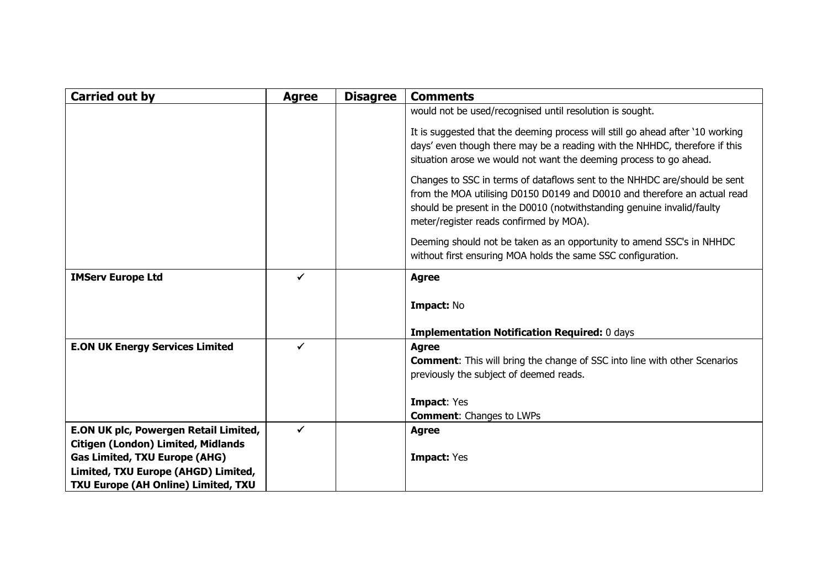| <b>Carried out by</b>                     | <b>Agree</b> | <b>Disagree</b> | <b>Comments</b>                                                                                                                                        |
|-------------------------------------------|--------------|-----------------|--------------------------------------------------------------------------------------------------------------------------------------------------------|
|                                           |              |                 | would not be used/recognised until resolution is sought.                                                                                               |
|                                           |              |                 | It is suggested that the deeming process will still go ahead after '10 working                                                                         |
|                                           |              |                 | days' even though there may be a reading with the NHHDC, therefore if this                                                                             |
|                                           |              |                 | situation arose we would not want the deeming process to go ahead.                                                                                     |
|                                           |              |                 | Changes to SSC in terms of dataflows sent to the NHHDC are/should be sent<br>from the MOA utilising D0150 D0149 and D0010 and therefore an actual read |
|                                           |              |                 | should be present in the D0010 (notwithstanding genuine invalid/faulty<br>meter/register reads confirmed by MOA).                                      |
|                                           |              |                 |                                                                                                                                                        |
|                                           |              |                 | Deeming should not be taken as an opportunity to amend SSC's in NHHDC<br>without first ensuring MOA holds the same SSC configuration.                  |
| <b>IMServ Europe Ltd</b>                  | ✔            |                 | <b>Agree</b>                                                                                                                                           |
|                                           |              |                 |                                                                                                                                                        |
|                                           |              |                 | Impact: No                                                                                                                                             |
|                                           |              |                 |                                                                                                                                                        |
| <b>E.ON UK Energy Services Limited</b>    | ✔            |                 | <b>Implementation Notification Required: 0 days</b><br><b>Agree</b>                                                                                    |
|                                           |              |                 | <b>Comment:</b> This will bring the change of SSC into line with other Scenarios                                                                       |
|                                           |              |                 | previously the subject of deemed reads.                                                                                                                |
|                                           |              |                 |                                                                                                                                                        |
|                                           |              |                 | <b>Impact: Yes</b>                                                                                                                                     |
|                                           |              |                 | <b>Comment: Changes to LWPs</b>                                                                                                                        |
| E.ON UK plc, Powergen Retail Limited,     | ✔            |                 | <b>Agree</b>                                                                                                                                           |
| <b>Citigen (London) Limited, Midlands</b> |              |                 |                                                                                                                                                        |
| <b>Gas Limited, TXU Europe (AHG)</b>      |              |                 | <b>Impact: Yes</b>                                                                                                                                     |
| Limited, TXU Europe (AHGD) Limited,       |              |                 |                                                                                                                                                        |
| TXU Europe (AH Online) Limited, TXU       |              |                 |                                                                                                                                                        |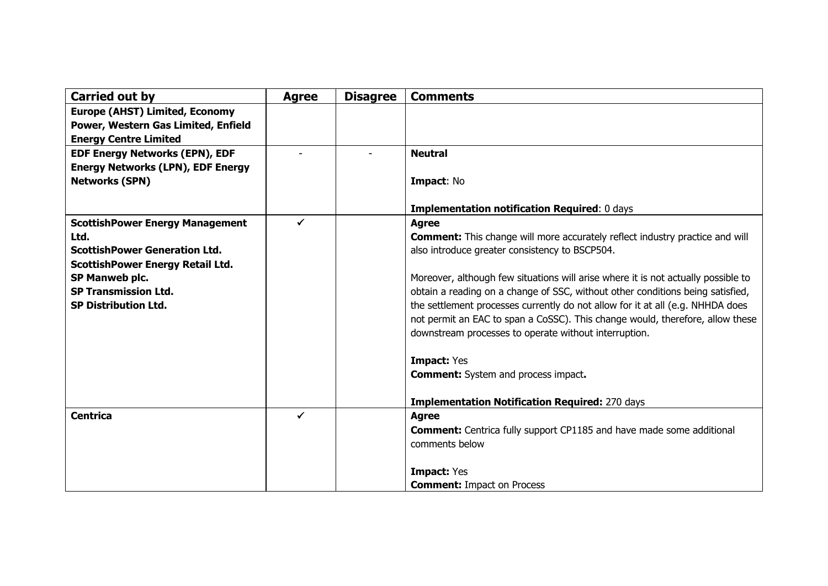| Carried out by                           | <b>Agree</b> | <b>Disagree</b> | <b>Comments</b>                                                                     |
|------------------------------------------|--------------|-----------------|-------------------------------------------------------------------------------------|
| <b>Europe (AHST) Limited, Economy</b>    |              |                 |                                                                                     |
| Power, Western Gas Limited, Enfield      |              |                 |                                                                                     |
| <b>Energy Centre Limited</b>             |              |                 |                                                                                     |
| <b>EDF Energy Networks (EPN), EDF</b>    |              |                 | <b>Neutral</b>                                                                      |
| <b>Energy Networks (LPN), EDF Energy</b> |              |                 |                                                                                     |
| <b>Networks (SPN)</b>                    |              |                 | Impact: No                                                                          |
|                                          |              |                 | <b>Implementation notification Required: 0 days</b>                                 |
| <b>ScottishPower Energy Management</b>   | $\checkmark$ |                 | <b>Agree</b>                                                                        |
| Ltd.                                     |              |                 | <b>Comment:</b> This change will more accurately reflect industry practice and will |
| <b>ScottishPower Generation Ltd.</b>     |              |                 | also introduce greater consistency to BSCP504.                                      |
| <b>ScottishPower Energy Retail Ltd.</b>  |              |                 |                                                                                     |
| SP Manweb plc.                           |              |                 | Moreover, although few situations will arise where it is not actually possible to   |
| <b>SP Transmission Ltd.</b>              |              |                 | obtain a reading on a change of SSC, without other conditions being satisfied,      |
| <b>SP Distribution Ltd.</b>              |              |                 | the settlement processes currently do not allow for it at all (e.g. NHHDA does      |
|                                          |              |                 | not permit an EAC to span a CoSSC). This change would, therefore, allow these       |
|                                          |              |                 | downstream processes to operate without interruption.                               |
|                                          |              |                 | <b>Impact: Yes</b>                                                                  |
|                                          |              |                 | <b>Comment:</b> System and process impact.                                          |
|                                          |              |                 |                                                                                     |
|                                          |              |                 | <b>Implementation Notification Required: 270 days</b>                               |
| <b>Centrica</b>                          | $\checkmark$ |                 | <b>Agree</b>                                                                        |
|                                          |              |                 | <b>Comment:</b> Centrica fully support CP1185 and have made some additional         |
|                                          |              |                 | comments below                                                                      |
|                                          |              |                 |                                                                                     |
|                                          |              |                 | <b>Impact: Yes</b>                                                                  |
|                                          |              |                 | <b>Comment:</b> Impact on Process                                                   |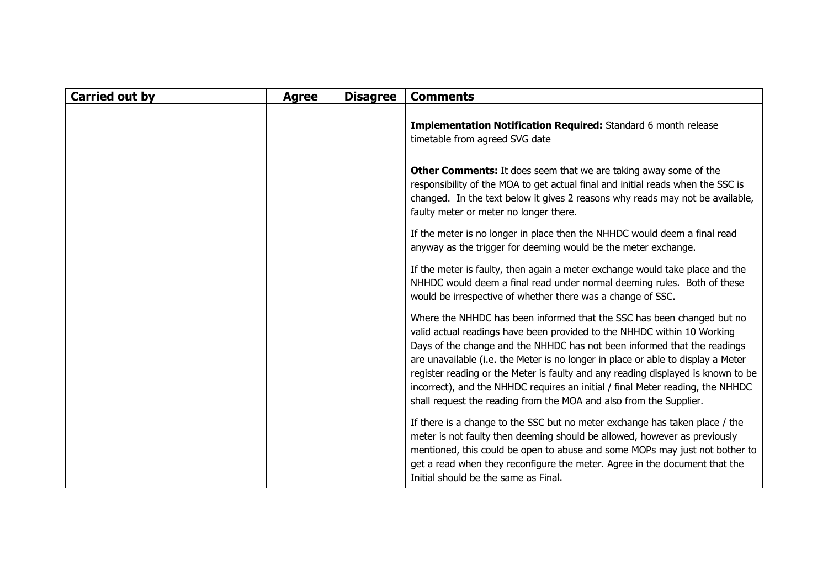| <b>Carried out by</b> | <b>Agree</b> | <b>Disagree</b> | <b>Comments</b>                                                                                                                                                                                                                                                                                                                                                                                                                                                                                                                                               |
|-----------------------|--------------|-----------------|---------------------------------------------------------------------------------------------------------------------------------------------------------------------------------------------------------------------------------------------------------------------------------------------------------------------------------------------------------------------------------------------------------------------------------------------------------------------------------------------------------------------------------------------------------------|
|                       |              |                 | <b>Implementation Notification Required:</b> Standard 6 month release<br>timetable from agreed SVG date                                                                                                                                                                                                                                                                                                                                                                                                                                                       |
|                       |              |                 | <b>Other Comments:</b> It does seem that we are taking away some of the<br>responsibility of the MOA to get actual final and initial reads when the SSC is<br>changed. In the text below it gives 2 reasons why reads may not be available,<br>faulty meter or meter no longer there.                                                                                                                                                                                                                                                                         |
|                       |              |                 | If the meter is no longer in place then the NHHDC would deem a final read<br>anyway as the trigger for deeming would be the meter exchange.                                                                                                                                                                                                                                                                                                                                                                                                                   |
|                       |              |                 | If the meter is faulty, then again a meter exchange would take place and the<br>NHHDC would deem a final read under normal deeming rules. Both of these<br>would be irrespective of whether there was a change of SSC.                                                                                                                                                                                                                                                                                                                                        |
|                       |              |                 | Where the NHHDC has been informed that the SSC has been changed but no<br>valid actual readings have been provided to the NHHDC within 10 Working<br>Days of the change and the NHHDC has not been informed that the readings<br>are unavailable (i.e. the Meter is no longer in place or able to display a Meter<br>register reading or the Meter is faulty and any reading displayed is known to be<br>incorrect), and the NHHDC requires an initial / final Meter reading, the NHHDC<br>shall request the reading from the MOA and also from the Supplier. |
|                       |              |                 | If there is a change to the SSC but no meter exchange has taken place / the<br>meter is not faulty then deeming should be allowed, however as previously<br>mentioned, this could be open to abuse and some MOPs may just not bother to<br>get a read when they reconfigure the meter. Agree in the document that the<br>Initial should be the same as Final.                                                                                                                                                                                                 |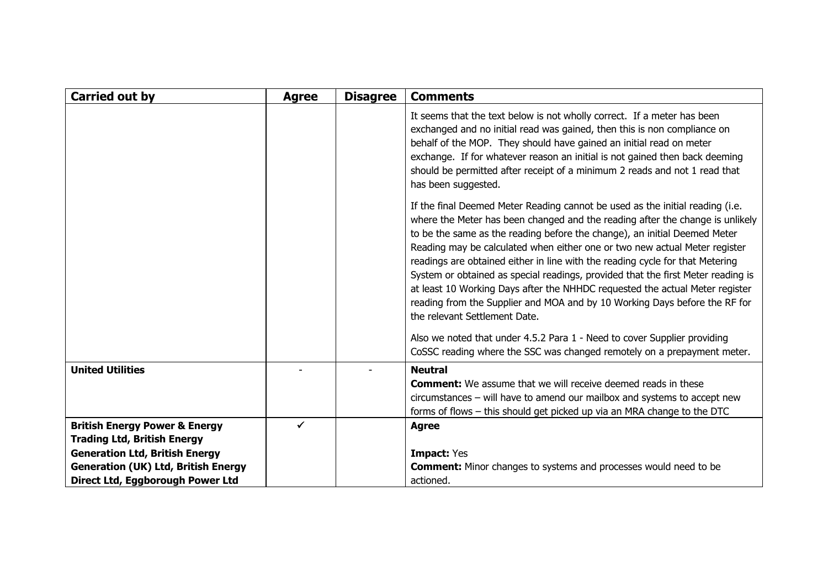| <b>Carried out by</b>                                                          | <b>Agree</b> | <b>Disagree</b> | <b>Comments</b>                                                                                                                                                                                                                                                                                                                                                                                                                                                                                                                                                                                                                                                                               |
|--------------------------------------------------------------------------------|--------------|-----------------|-----------------------------------------------------------------------------------------------------------------------------------------------------------------------------------------------------------------------------------------------------------------------------------------------------------------------------------------------------------------------------------------------------------------------------------------------------------------------------------------------------------------------------------------------------------------------------------------------------------------------------------------------------------------------------------------------|
|                                                                                |              |                 | It seems that the text below is not wholly correct. If a meter has been<br>exchanged and no initial read was gained, then this is non compliance on<br>behalf of the MOP. They should have gained an initial read on meter<br>exchange. If for whatever reason an initial is not gained then back deeming<br>should be permitted after receipt of a minimum 2 reads and not 1 read that<br>has been suggested.                                                                                                                                                                                                                                                                                |
|                                                                                |              |                 | If the final Deemed Meter Reading cannot be used as the initial reading (i.e.<br>where the Meter has been changed and the reading after the change is unlikely<br>to be the same as the reading before the change), an initial Deemed Meter<br>Reading may be calculated when either one or two new actual Meter register<br>readings are obtained either in line with the reading cycle for that Metering<br>System or obtained as special readings, provided that the first Meter reading is<br>at least 10 Working Days after the NHHDC requested the actual Meter register<br>reading from the Supplier and MOA and by 10 Working Days before the RF for<br>the relevant Settlement Date. |
|                                                                                |              |                 | Also we noted that under 4.5.2 Para 1 - Need to cover Supplier providing<br>CoSSC reading where the SSC was changed remotely on a prepayment meter.                                                                                                                                                                                                                                                                                                                                                                                                                                                                                                                                           |
| <b>United Utilities</b>                                                        |              |                 | <b>Neutral</b><br><b>Comment:</b> We assume that we will receive deemed reads in these<br>$circumstances - will have to amend our mailbox and systems to accept new$<br>forms of flows - this should get picked up via an MRA change to the DTC                                                                                                                                                                                                                                                                                                                                                                                                                                               |
| <b>British Energy Power &amp; Energy</b><br><b>Trading Ltd, British Energy</b> |              |                 | <b>Agree</b>                                                                                                                                                                                                                                                                                                                                                                                                                                                                                                                                                                                                                                                                                  |
| <b>Generation Ltd, British Energy</b>                                          |              |                 | <b>Impact: Yes</b>                                                                                                                                                                                                                                                                                                                                                                                                                                                                                                                                                                                                                                                                            |
| <b>Generation (UK) Ltd, British Energy</b><br>Direct Ltd, Eggborough Power Ltd |              |                 | <b>Comment:</b> Minor changes to systems and processes would need to be<br>actioned.                                                                                                                                                                                                                                                                                                                                                                                                                                                                                                                                                                                                          |
|                                                                                |              |                 |                                                                                                                                                                                                                                                                                                                                                                                                                                                                                                                                                                                                                                                                                               |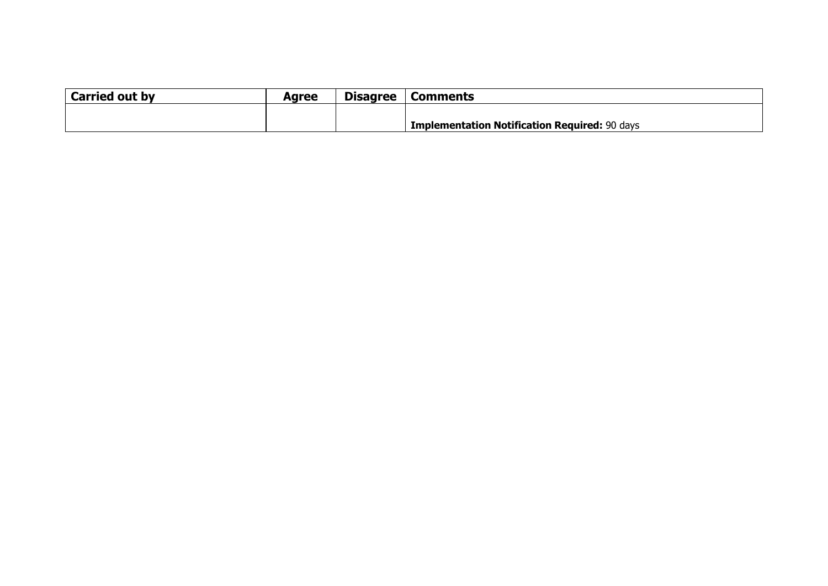| <b>Carried out by</b> | Aaree | <b>Disagree</b> | <b>Comments</b>                                      |
|-----------------------|-------|-----------------|------------------------------------------------------|
|                       |       |                 |                                                      |
|                       |       |                 | <b>Implementation Notification Required: 90 days</b> |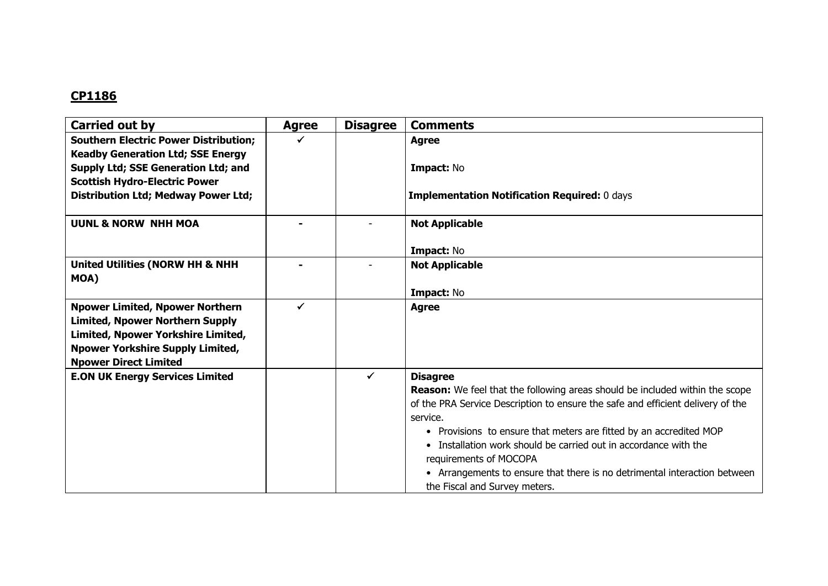| Carried out by                                     | <b>Agree</b> | <b>Disagree</b> | <b>Comments</b>                                                                            |
|----------------------------------------------------|--------------|-----------------|--------------------------------------------------------------------------------------------|
| <b>Southern Electric Power Distribution;</b>       |              |                 | <b>Agree</b>                                                                               |
| <b>Keadby Generation Ltd; SSE Energy</b>           |              |                 |                                                                                            |
| Supply Ltd; SSE Generation Ltd; and                |              |                 | Impact: No                                                                                 |
| <b>Scottish Hydro-Electric Power</b>               |              |                 |                                                                                            |
| <b>Distribution Ltd; Medway Power Ltd;</b>         |              |                 | <b>Implementation Notification Required: 0 days</b>                                        |
| <b>UUNL &amp; NORW NHH MOA</b>                     |              |                 | <b>Not Applicable</b>                                                                      |
|                                                    |              |                 | Impact: No                                                                                 |
| <b>United Utilities (NORW HH &amp; NHH</b><br>MOA) |              |                 | <b>Not Applicable</b>                                                                      |
|                                                    |              |                 | Impact: No                                                                                 |
| <b>Npower Limited, Npower Northern</b>             |              |                 | <b>Agree</b>                                                                               |
| <b>Limited, Npower Northern Supply</b>             |              |                 |                                                                                            |
| Limited, Npower Yorkshire Limited,                 |              |                 |                                                                                            |
| <b>Npower Yorkshire Supply Limited,</b>            |              |                 |                                                                                            |
| <b>Npower Direct Limited</b>                       |              |                 |                                                                                            |
| <b>E.ON UK Energy Services Limited</b>             |              | $\checkmark$    | <b>Disagree</b>                                                                            |
|                                                    |              |                 | <b>Reason:</b> We feel that the following areas should be included within the scope        |
|                                                    |              |                 | of the PRA Service Description to ensure the safe and efficient delivery of the            |
|                                                    |              |                 | service.                                                                                   |
|                                                    |              |                 | • Provisions to ensure that meters are fitted by an accredited MOP                         |
|                                                    |              |                 | • Installation work should be carried out in accordance with the<br>requirements of MOCOPA |
|                                                    |              |                 | • Arrangements to ensure that there is no detrimental interaction between                  |
|                                                    |              |                 | the Fiscal and Survey meters.                                                              |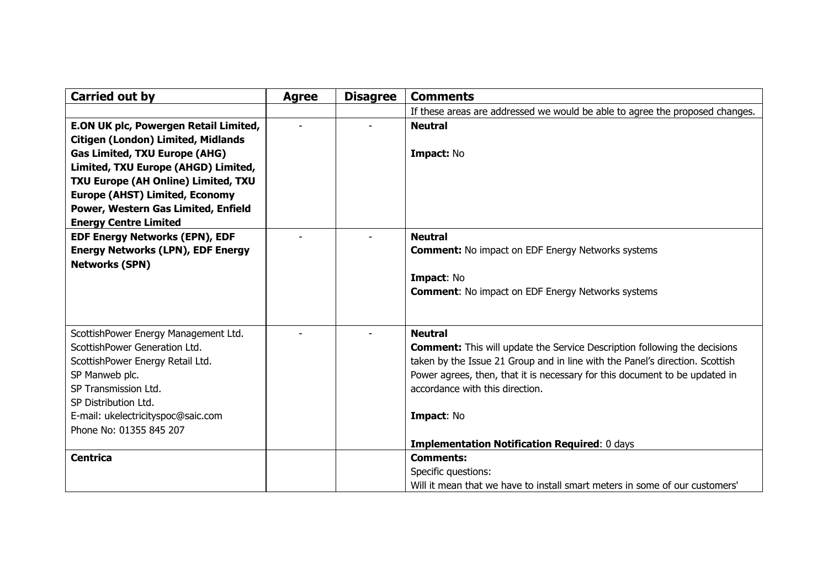| <b>Carried out by</b>                     | <b>Agree</b> | <b>Disagree</b> | <b>Comments</b>                                                                  |
|-------------------------------------------|--------------|-----------------|----------------------------------------------------------------------------------|
|                                           |              |                 | If these areas are addressed we would be able to agree the proposed changes.     |
| E.ON UK plc, Powergen Retail Limited,     |              |                 | <b>Neutral</b>                                                                   |
| <b>Citigen (London) Limited, Midlands</b> |              |                 |                                                                                  |
| <b>Gas Limited, TXU Europe (AHG)</b>      |              |                 | Impact: No                                                                       |
| Limited, TXU Europe (AHGD) Limited,       |              |                 |                                                                                  |
| TXU Europe (AH Online) Limited, TXU       |              |                 |                                                                                  |
| <b>Europe (AHST) Limited, Economy</b>     |              |                 |                                                                                  |
| Power, Western Gas Limited, Enfield       |              |                 |                                                                                  |
| <b>Energy Centre Limited</b>              |              |                 |                                                                                  |
| <b>EDF Energy Networks (EPN), EDF</b>     |              |                 | <b>Neutral</b>                                                                   |
| <b>Energy Networks (LPN), EDF Energy</b>  |              |                 | <b>Comment:</b> No impact on EDF Energy Networks systems                         |
| <b>Networks (SPN)</b>                     |              |                 |                                                                                  |
|                                           |              |                 | Impact: No<br><b>Comment: No impact on EDF Energy Networks systems</b>           |
|                                           |              |                 |                                                                                  |
|                                           |              |                 |                                                                                  |
| ScottishPower Energy Management Ltd.      |              |                 | <b>Neutral</b>                                                                   |
| ScottishPower Generation Ltd.             |              |                 | <b>Comment:</b> This will update the Service Description following the decisions |
| ScottishPower Energy Retail Ltd.          |              |                 | taken by the Issue 21 Group and in line with the Panel's direction. Scottish     |
| SP Manweb plc.                            |              |                 | Power agrees, then, that it is necessary for this document to be updated in      |
| SP Transmission Ltd.                      |              |                 | accordance with this direction.                                                  |
| SP Distribution Ltd.                      |              |                 |                                                                                  |
| E-mail: ukelectricityspoc@saic.com        |              |                 | Impact: No                                                                       |
| Phone No: 01355 845 207                   |              |                 |                                                                                  |
|                                           |              |                 | <b>Implementation Notification Required: 0 days</b>                              |
| <b>Centrica</b>                           |              |                 | <b>Comments:</b>                                                                 |
|                                           |              |                 | Specific questions:                                                              |
|                                           |              |                 | Will it mean that we have to install smart meters in some of our customers'      |